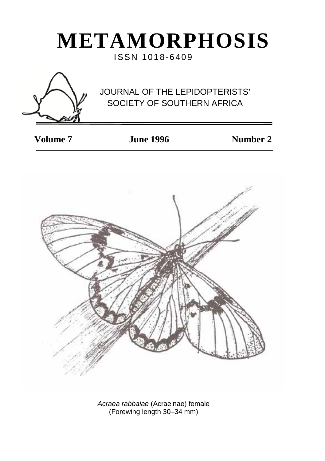# **METAMORPHOSIS**

ISSN 1018-6409



# JOURNAL OF THE LEPIDOPTERISTS' SOCIETY OF SOUTHERN AFRICA

 **Volume 7 June 1996 Number 2**



*Acraea rabbaiae* (Acraeinae) female (Forewing length 30–34 mm)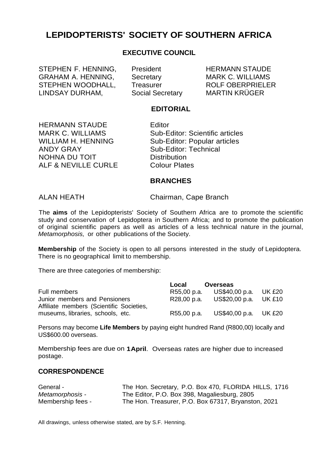### **LEPIDOPTERISTS' SOCIETY OF SOUTHERN AFRICA**

#### **EXECUTIVE COUNCIL**

STEPHEN F. HENNING, President HERMANN STAUDE<br>GRAHAM A HENNING Secretary MARK C WILLIAMS GRAHAM A. HENNING, Secretary MARK C. WILLIAMS<br>STEPHEN WOODHALL, Treasurer ROLF OBERPRIELER STEPHEN WOODHALL, Treasurer ROLF OBERPRIEL<br>LINDSAY DURHAM Social Secretary MARTIN KRÜGER LINDSAY DURHAM.

#### **EDITORIAL**

HERMANN STAUDE Feditor<br>MARK C. WILLIAMS Sub-E NOHNA DU TOIT Distribution<br>ALF & NEVILLE CURLE Colour Plates ALF & NEVILLE CURLE

MARK C. WILLIAMS Sub-Editor: Scientific articles<br>
WILLIAM H. HENNING Sub-Editor: Popular articles WILLIAM H. HENNING<br>
Sub-Editor: Popular articles<br>
Sub-Editor: Technical Sub-Editor: Technical<br>Distribution

#### **BRANCHES**

ALAN HEATH Chairman, Cape Branch

The **aims** of the Lepidopterists' Society of Southern Africa are to promote the scientific study and conservation of Lepidoptera in Southern Africa; and to promote the publication of original scientific papers as well as articles of a less technical nature in the journal, *Metamorphosis,* or other publications of the Society.

**Membership** of the Society is open to all persons interested in the study of Lepidoptera. There is no geographical limit to membership.

There are three categories of membership:

|                                                                           | Local       | Overseas              |  |
|---------------------------------------------------------------------------|-------------|-----------------------|--|
| Full members                                                              | R55,00 p.a. | US\$40,00 p.a. UK £20 |  |
| Junior members and Pensioners<br>Affiliate members (Scientific Societies, | R28.00 p.a. | US\$20,00 p.a. UK £10 |  |
| museums, libraries, schools, etc.                                         | R55,00 p.a. | US\$40,00 p.a. UK £20 |  |

Persons may become **Life Members** by paying eight hundred Rand (R800,00) locally and US\$600.00 overseas.

Membership fees are due on **1April**. Overseas rates are higher due to increased postage.

#### **CORRESPONDENCE**

| General -         | The Hon. Secretary, P.O. Box 470, FLORIDA HILLS, 1716 |
|-------------------|-------------------------------------------------------|
| Metamorphosis -   | The Editor, P.O. Box 398, Magaliesburg, 2805          |
| Membership fees - | The Hon. Treasurer, P.O. Box 67317, Bryanston, 2021   |

All drawings, unless otherwise stated, are by S.F. Henning.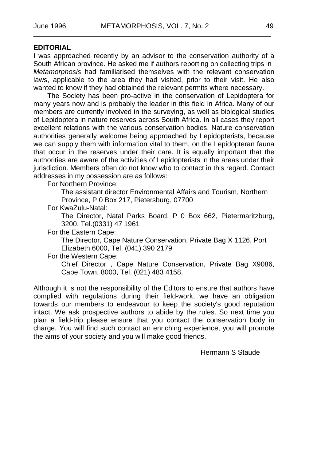#### **EDITORIAL**

I was approached recently by an advisor to the conservation authority of a South African province. He asked me if authors reporting on collecting trips in *Metamorphosis* had familiarised themselves with the relevant conservation laws, applicable to the area they had visited, prior to their visit. He also wanted to know if they had obtained the relevant permits where necessary.

The Society has been pro-active in the conservation of Lepidoptera for many years now and is probably the leader in this field in Africa. Many of our members are currently involved in the surveying, as well as biological studies of Lepidoptera in nature reserves across South Africa. In all cases they report excellent relations with the various conservation bodies. Nature conservation authorities generally welcome being approached by Lepidopterists, because we can supply them with information vital to them, on the Lepidopteran fauna that occur in the reserves under their care. It is equally important that the authorities are aware of the activities of Lepidopterists in the areas under their jurisdiction. Members often do not know who to contact in this regard. Contact addresses in my possession are as follows:

For Northern Province:

The assistant director Environmental Affairs and Tourism, Northern Province, P 0 Box 217, Pietersburg, 07700

For KwaZulu-Natal:

The Director, Natal Parks Board, P 0 Box 662, Pietermaritzburg, 3200, Tel.(0331) 47 1961

For the Eastern Cape:

The Director, Cape Nature Conservation, Private Bag X 1126, Port Elizabeth,6000, Tel. (041) 390 2179

For the Western Cape:

Chief Director , Cape Nature Conservation, Private Bag X9086, Cape Town, 8000, Tel. (021) 483 4158.

Although it is not the responsibility of the Editors to ensure that authors have complied with regulations during their field-work, we have an obligation towards our members to endeavour to keep the society's good reputation intact. We ask prospective authors to abide by the rules. So next time you plan a field-trip please ensure that you contact the conservation body in charge. You will find such contact an enriching experience, you will promote the aims of your society and you will make good friends.

Hermann S Staude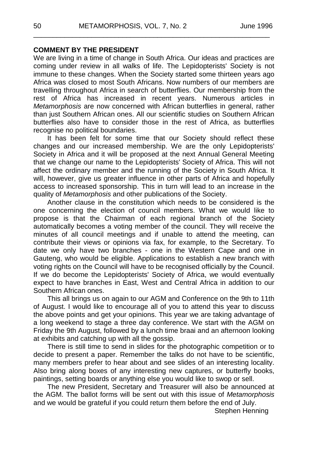#### **COMMENT BY THE PRESIDENT**

We are living in a time of change in South Africa. Our ideas and practices are coming under review in all walks of life. The Lepidopterists' Society is not immune to these changes. When the Society started some thirteen years ago Africa was closed to most South Africans. Now numbers of our members are travelling throughout Africa in search of butterflies. Our membership from the rest of Africa has increased in recent years. Numerous articles in *Metamorphosis* are now concerned with African butterflies in general, rather than just Southern African ones. All our scientific studies on Southern African butterflies also have to consider those in the rest of Africa, as butterflies recognise no political boundaries.

\_\_\_\_\_\_\_\_\_\_\_\_\_\_\_\_\_\_\_\_\_\_\_\_\_\_\_\_\_\_\_\_\_\_\_\_\_\_\_\_\_\_\_\_\_\_\_\_\_\_\_\_\_\_\_\_\_\_\_\_\_

It has been felt for some time that our Society should reflect these changes and our increased membership. We are the only Lepidopterists' Society in Africa and it will be proposed at the next Annual General Meeting that we change our name to the Lepidopterists' Society of Africa. This will not affect the ordinary member and the running of the Society in South Africa. It will, however, give us greater influence in other parts of Africa and hopefully access to increased sponsorship. This in turn will lead to an increase in the quality of *Metamorphosis* and other publications of the Society.

Another clause in the constitution which needs to be considered is the one concerning the election of council members. What we would like to propose is that the Chairman of each regional branch of the Society automatically becomes a voting member of the council. They will receive the minutes of all council meetings and if unable to attend the meeting, can contribute their views or opinions via fax, for example, to the Secretary. To date we only have two branches - one in the Western Cape and one in Gauteng, who would be eligible. Applications to establish a new branch with voting rights on the Council will have to be recognised officially by the Council. If we do become the Lepidopterists' Society of Africa, we would eventually expect to have branches in East, West and Central Africa in addition to our Southern African ones.

This all brings us on again to our AGM and Conference on the 9th to 11th of August. I would like to encourage all of you to attend this year to discuss the above points and get your opinions. This year we are taking advantage of a long weekend to stage a three day conference. We start with the AGM on Friday the 9th August, followed by a lunch time braai and an afternoon looking at exhibits and catching up with all the gossip.

There is still time to send in slides for the photographic competition or to decide to present a paper. Remember the talks do not have to be scientific, many members prefer to hear about and see slides of an interesting locality. Also bring along boxes of any interesting new captures, or butterfly books, paintings, setting boards or anything else you would like to swop or sell.

The new President, Secretary and Treasurer will also be announced at the AGM. The ballot forms will be sent out with this issue of *Metamorphosis*  and we would be grateful if you could return them before the end of July.

Stephen Henning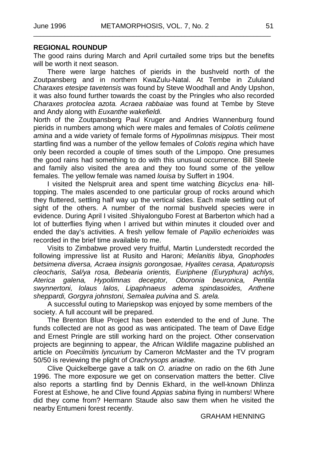#### **REGIONAL ROUNDUP**

The good rains during March and April curtailed some trips but the benefits will be worth it next season.

There were large hatches of pierids in the bushveld north of the Zoutpansberg and in northern KwaZulu-Natal. At Tembe in Zululand *Charaxes etesipe tavetensis* was found by Steve Woodhall and Andy Upshon, it was also found further towards the coast by the Pringles who also recorded *Charaxes protoclea azota. Acraea rabbaiae* was found at Tembe by Steve and Andy along with *Euxanthe wakefieldi.*

North of the Zoutpansberg Paul Kruger and Andries Wannenburg found pierids in numbers among which were males and females of *Colotis celimene amina* and a wide variety of female forms of *Hypolimnas misippus.* Their most startling find was a number of the yellow females of *Colotis regina* which have only been recorded a couple of times south of the Limpopo. One presumes the good rains had something to do with this unusual occurrence. Bill Steele and family also visited the area and they too found some of the yellow females. The yellow female was named *louisa* by Suffert in 1904.

I visited the Nelspruit area and spent time watching *Bicyclus ena·* hilltopping. The males ascended to one particular group of rocks around which they fluttered, settling half way up the vertical sides. Each male settling out of sight of the others. A number of the normal bushveld species were in evidence. During April I visited .Shiyalongubo Forest at Barberton which had a lot of butterflies flying when I arrived but within minutes it clouded over and ended the day's activities. A fresh yellow female of *Papilio echerioides* was recorded in the brief time available to me.

Visits to Zimbabwe proved very fruitful, Martin Lunderstedt recorded the following impressive list at Rusito and Haroni; *Melanitis libya, Gnophodes betsimena diversa, Acraea insignis gorongosae, Hyalites cerasa, Apaturopsis cleocharis, Sal/ya rosa, Bebearia orientis, Euriphene (Euryphura) achlys, Aterica galena, Hypolimnas deceptor, Oboronia beuronica, Pentila swynnertoni, lolaus lalos, Lipaphnaeus adema spindasoides, Anthene sheppardi, Gorgyra johnstoni, Semalea pulvina* and *S. arela.*

A successful outing to Mariepskop was enjoyed by some members of the society. A full account will be prepared.

The Brenton Blue Project has been extended to the end of June. The funds collected are not as good as was anticipated. The team of Dave Edge and Ernest Pringle are still working hard on the project. Other conservation projects are beginning to appear, the African Wildlife magazine published an article on *Poecilmitis lyncurium* by Cameron McMaster and the TV program 50/50 is reviewing the plight of *Orachrysops ariadne.*

Clive Quickelberge gave a talk on *O. ariadne* on radio on the 6th June 1996. The more exposure we get on conservation matters the better. Clive also reports a startling find by Dennis Ekhard, in the well-known Dhlinza Forest at Eshowe, he and Clive found *Appias sabina* flying in numbers! Where did they come from? Hermann Staude also saw them when he visited the nearby Entumeni forest recently.

#### GRAHAM HENNING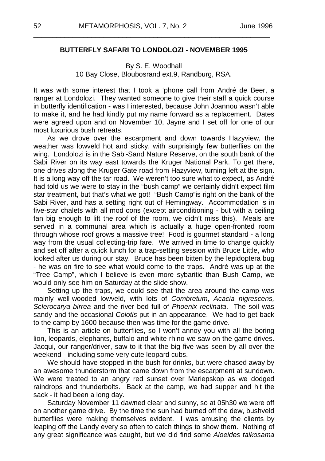#### **BUTTERFLY SAFARI TO LONDOLOZI - NOVEMBER 1995**

\_\_\_\_\_\_\_\_\_\_\_\_\_\_\_\_\_\_\_\_\_\_\_\_\_\_\_\_\_\_\_\_\_\_\_\_\_\_\_\_\_\_\_\_\_\_\_\_\_\_\_\_\_\_\_\_\_\_\_\_\_

#### By S. E. Woodhall 10 Bay Close, Bloubosrand ext.9, Randburg, RSA.

It was with some interest that I took a 'phone call from André de Beer, a ranger at Londolozi. They wanted someone to give their staff a quick course in butterfly identification - was I interested, because John Joannou wasn't able to make it, and he had kindly put my name forward as a replacement. Dates were agreed upon and on November 10, Jayne and I set off for one of our most luxurious bush retreats.

As we drove over the escarpment and down towards Hazyview, the weather was lowveld hot and sticky, with surprisingly few butterflies on the wing. Londolozi is in the Sabi-Sand Nature Reserve, on the south bank of the Sabi River on its way east towards the Kruger National Park. To get there, one drives along the Kruger Gate road from Hazyview, turning left at the sign. It is a long way off the tar road. We weren't too sure what to expect, as André had told us we were to stay in the "bush camp" we certainly didn't expect film star treatment, but that's what we got! "Bush Camp"is right on the bank of the Sabi River, and has a setting right out of Hemingway. Accommodation is in five-star chalets with all mod cons (except airconditioning - but with a ceiling fan big enough to lift the roof of the room, we didn't miss this). Meals are served in a communal area which is actually a huge open-fronted room through whose roof grows a massive tree! Food is gourmet standard - a long way from the usual collecting-trip fare. We arrived in time to change quickly and set off after a quick lunch for a trap-setting session with Bruce Little, who looked after us during our stay. Bruce has been bitten by the lepidoptera bug - he was on fire to see what would come to the traps. André was up at the "Tree Camp", which I believe is even more sybaritic than Bush Camp, we would only see him on Saturday at the slide show.

Setting up the traps, we could see that the area around the camp was mainly well-wooded lowveld, with lots of *Combretum*, *Acacia nigrescens, Sclerocarya birrea* and the river bed full of *Phoenix reclinata*. The soil was sandy and the occasional *Colotis* put in an appearance. We had to get back to the camp by 1600 because then was time for the game drive.

This is an article on butterflies, so I won't annoy you with all the boring lion, leopards, elephants, buffalo and white rhino we saw on the game drives. Jacqui, our ranger/driver, saw to it that the big five was seen by all over the weekend - including some very cute leopard cubs.

We should have stopped in the bush for drinks, but were chased away by an awesome thunderstorm that came down from the escarpment at sundown. We were treated to an angry red sunset over Mariepskop as we dodged raindrops and thunderbolts. Back at the camp, we had supper and hit the sack - it had been a long day.

Saturday November 11 dawned clear and sunny, so at 05h30 we were off on another game drive. By the time the sun had burned off the dew, bushveld butterflies were making themselves evident. I was amusing the clients by leaping off the Landy every so often to catch things to show them. Nothing of any great significance was caught, but we did find some *Aloeides taikosama*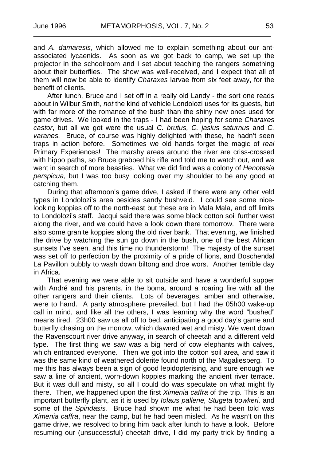and *A. damaresis*, which allowed me to explain something about our antassociated lycaenids. As soon as we got back to camp, we set up the projector in the schoolroom and I set about teaching the rangers something about their butterflies. The show was well-received, and I expect that all of them will now be able to identify *Charaxes* larvae from six feet away, for the benefit of clients.

After lunch, Bruce and I set off in a really old Landy - the sort one reads about in Wilbur Smith, *not* the kind of vehicle Londolozi uses for its guests, but with far more of the romance of the bush than the shiny new ones used for game drives. We looked in the traps - I had been hoping for some *Charaxes castor*, but all we got were the usual *C. brutus, C. jasius saturnus* and *C. varanes.* Bruce, of course was highly delighted with these, he hadn't seen traps in action before. Sometimes we old hands forget the magic of *real* Primary Experiences! The marshy areas around the river are criss-crossed with hippo paths, so Bruce grabbed his rifle and told me to watch out, and we went in search of more beasties. What we did find was a colony of *Henotesia perspicua*, but I was too busy looking over my shoulder to be any good at catching them.

During that afternoon's game drive, I asked if there were any other veld types in Londolozi's area besides sandy bushveld. I could see some nicelooking koppies off to the north-east but these are in Mala Mala, and off limits to Londolozi's staff. Jacqui said there was some black cotton soil further west along the river, and we could have a look down there tomorrow. There were also some granite koppies along the old river bank. That evening, we finished the drive by watching the sun go down in the bush, one of the best African sunsets I've seen, and this time no thunderstorm! The majesty of the sunset was set off to perfection by the proximity of a pride of lions, and Boschendal La Pavillon bubbly to wash down biltong and droe wors. Another terrible day in Africa.

That evening we were able to sit outside and have a wonderful supper with André and his parents, in the boma, around a roaring fire with all the other rangers and their clients. Lots of beverages, amber and otherwise, were to hand. A party atmosphere prevailed, but I had the 05h00 wake-up call in mind, and like all the others, I was learning why the word "bushed" means tired. 23h00 saw us all off to bed, anticipating a good day's game and butterfly chasing on the morrow, which dawned wet and misty. We went down the Ravenscourt river drive anyway, in search of cheetah and a different veld type. The first thing we saw was a big herd of cow elephants with calves, which entranced everyone. Then we got into the cotton soil area, and saw it was the same kind of weathered dolerite found north of the Magaliesberg. To me this has always been a sign of good lepidopterising, and sure enough we saw a line of ancient, worn-down koppies marking the ancient river terrace. But it was dull and misty, so all I could do was speculate on what might fly there. Then, we happened upon the first *Ximenia caffra* of the trip. This is an important butterfly plant, as it is used by *Iolaus pallene, Stugeta bowkeri,* and some of the *Spindasis.* Bruce had shown me what he had been told was *Ximenia caffra*, near the camp, but he had been misled. As he wasn't on this game drive, we resolved to bring him back after lunch to have a look. Before resuming our (unsuccessful) cheetah drive, I did my party trick by finding a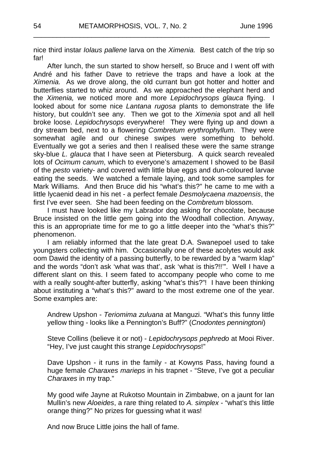nice third instar *Iolaus pallene* larva on the *Ximenia.* Best catch of the trip so far!

\_\_\_\_\_\_\_\_\_\_\_\_\_\_\_\_\_\_\_\_\_\_\_\_\_\_\_\_\_\_\_\_\_\_\_\_\_\_\_\_\_\_\_\_\_\_\_\_\_\_\_\_\_\_\_\_\_\_\_\_\_

After lunch, the sun started to show herself, so Bruce and I went off with André and his father Dave to retrieve the traps and have a look at the *Ximenia.* As we drove along, the old currant bun got hotter and hotter and butterflies started to whiz around. As we approached the elephant herd and the *Ximenia,* we noticed more and more *Lepidochrysops glauca* flying. I looked about for some nice *Lantana rugosa* plants to demonstrate the life history, but couldn't see any. Then we got to the *Ximenia* spot and all hell broke loose. *Lepidochrysops* everywhere! They were flying up and down a dry stream bed, next to a flowering *Combretum erythrophyllum*. They were somewhat agile and our chinese swipes were something to behold. Eventually we got a series and then I realised these were the same strange sky-blue *L. glauca* that I have seen at Pietersburg. A quick search revealed lots of *Ocimum canum*, which to everyone's amazement I showed to be Basil of the *pesto* variety- and covered with little blue eggs and dun-coloured larvae eating the seeds. We watched a female laying, and took some samples for Mark Williams. And then Bruce did his "what's this?" he came to me with a little lycaenid dead in his net - a perfect female *Desmolycaena mazoensis*, the first I've ever seen. She had been feeding on the *Combretum* blossom.

I must have looked like my Labrador dog asking for chocolate, because Bruce insisted on the little gem going into the Woodhall collection. Anyway, this is an appropriate time for me to go a little deeper into the "what's this?" phenomenon.

I am reliably informed that the late great D.A. Swanepoel used to take youngsters collecting with him. Occasionally one of these acolytes would ask oom Dawid the identity of a passing butterfly, to be rewarded by a "warm klap" and the words "don't ask 'what was that', ask 'what is this?!!'". Well I have a different slant on this. I seem fated to accompany people who come to me with a really sought-after butterfly, asking "what's this?"! I have been thinking about instituting a "what's this?" award to the most extreme one of the year. Some examples are:

Andrew Upshon - *Teriomima zuluana* at Manguzi. "What's this funny little yellow thing - looks like a Pennington's Buff?" (*Cnodontes penningtoni*)

Steve Collins (believe it or not) - *Lepidochrysops pephredo* at Mooi River. "Hey, I've just caught this strange *Lepidochrysops*!"

Dave Upshon - it runs in the family - at Kowyns Pass, having found a huge female *Charaxes marieps* in his trapnet - "Steve, I've got a peculiar *Charaxes* in my trap."

My good wife Jayne at Rukotso Mountain in Zimbabwe, on a jaunt for Ian Mullin's new *Aloeides*, a rare thing related to *A. simplex* - "what's this little orange thing?" No prizes for guessing what it was!

And now Bruce Little joins the hall of fame.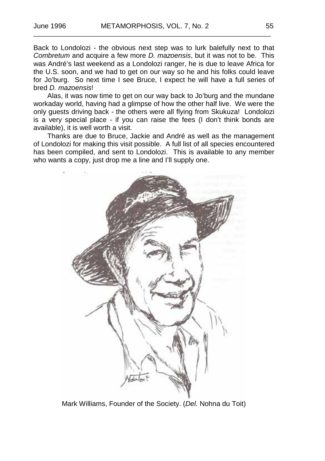Back to Londolozi - the obvious next step was to lurk balefully next to that *Combretum* and acquire a few more *D. mazoensis*, but it was not to be. This was André's last weekend as a Londolozi ranger, he is due to leave Africa for the U.S. soon, and we had to get on our way so he and his folks could leave for Jo'burg. So next time I see Bruce, I expect he will have a full series of bred *D. mazoensis*!

Alas, it was now time to get on our way back to Jo'burg and the mundane workaday world, having had a glimpse of how the other half live. We were the only guests driving back - the others were all flying from Skukuza! Londolozi is a very special place - if you can raise the fees (I don't think bonds are available), it is well worth a visit.

Thanks are due to Bruce, Jackie and André as well as the management of Londolozi for making this visit possible. A full list of all species encountered has been compiled, and sent to Londolozi. This is available to any member who wants a copy, just drop me a line and I'll supply one.



Mark Williams, Founder of the Society. (*Del.* Nohna du Toit)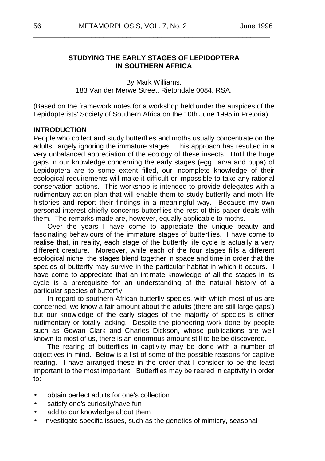#### **STUDYING THE EARLY STAGES OF LEPIDOPTERA IN SOUTHERN AFRICA**

\_\_\_\_\_\_\_\_\_\_\_\_\_\_\_\_\_\_\_\_\_\_\_\_\_\_\_\_\_\_\_\_\_\_\_\_\_\_\_\_\_\_\_\_\_\_\_\_\_\_\_\_\_\_\_\_\_\_\_\_\_

By Mark Williams. 183 Van der Merwe Street, Rietondale 0084, RSA.

(Based on the framework notes for a workshop held under the auspices of the Lepidopterists' Society of Southern Africa on the 10th June 1995 in Pretoria).

#### **INTRODUCTION**

People who collect and study butterflies and moths usually concentrate on the adults, largely ignoring the immature stages. This approach has resulted in a very unbalanced appreciation of the ecology of these insects. Until the huge gaps in our knowledge concerning the early stages (egg, larva and pupa) of Lepidoptera are to some extent filled, our incomplete knowledge of their ecological requirements will make it difficult or impossible to take any rational conservation actions. This workshop is intended to provide delegates with a rudimentary action plan that will enable them to study butterfly and moth life histories and report their findings in a meaningful way. Because my own personal interest chiefly concerns butterflies the rest of this paper deals with them. The remarks made are, however, equally applicable to moths.

Over the years I have come to appreciate the unique beauty and fascinating behaviours of the immature stages of butterflies. I have come to realise that, in reality, each stage of the butterfly life cycle is actually a very different creature. Moreover, while each of the four stages fills a different ecological niche, the stages blend together in space and time in order that the species of butterfly may survive in the particular habitat in which it occurs. I have come to appreciate that an intimate knowledge of all the stages in its cycle is a prerequisite for an understanding of the natural history of a particular species of butterfly.

In regard to southern African butterfly species, with which most of us are concerned, we know a fair amount about the adults (there are still large gaps!) but our knowledge of the early stages of the majority of species is either rudimentary or totally lacking. Despite the pioneering work done by people such as Gowan Clark and Charles Dickson, whose publications are well known to most of us, there is an enormous amount still to be be discovered.

The rearing of butterflies in captivity may be done with a number of objectives in mind. Below is a list of some of the possible reasons for captive rearing. I have arranged these in the order that I consider to be the least important to the most important. Butterflies may be reared in captivity in order to:

- obtain perfect adults for one's collection
- satisfy one's curiosity/have fun  $\overline{a}$
- add to our knowledge about them
- investigate specific issues, such as the genetics of mimicry, seasonal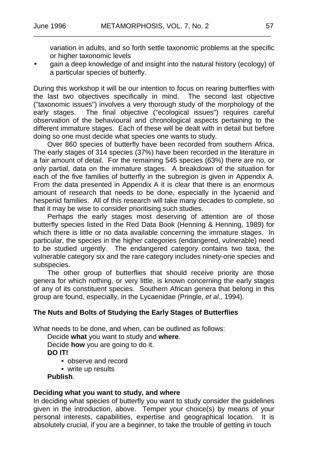variation in adults, and so forth settle taxonomic problems at the specific or higher taxonomic levels

gain a deep knowledge of and insight into the natural history (ecology) of a particular species of butterfly.

During this workshop it will be our intention to focus on rearing butterflies with the last two objectives specifically in mind. The second last objective ("taxonomic issues") involves a very thorough study of the morphology of the early stages. The final objective ("ecological issues") requires careful observation of the behavioural and chronological aspects pertaining to the different immature stages. Each of these will be dealt with in detail but before doing so one must decide what species one wants to study.

Over 860 species of butterfly have been recorded from southern Africa. The early stages of 314 species (37%) have been recorded in the literature in a fair amount of detail. For the remaining 545 species (63%) there are no, or only partial, data on the immature stages. A breakdown of the situation for each of the five families of butterfly in the subregion is given in Appendix A. From the data presented in Appendix A it is clear that there is an enormous amount of research that needs to be done, especially in the lycaenid and hesperiid families. All of this research will take many decades to complete, so that it may be wise to consider prioritising such studies.

Perhaps the early stages most deserving of attention are of those butterfly species listed in the Red Data Book (Henning & Henning, 1989) for which there is little or no data available concerning the immature stages. In particular, the species in the higher categories (endangered, vulnerable) need to be studied urgently. The endangered category contains two taxa, the vulnerable category six and the rare category includes ninety-one species and subspecies.

The other group of butterflies that should receive priority are those genera for which nothing, or very little, is known concerning the early stages of any of its constituent species. Southern African genera that belong in this group are found, especially, in the Lycaenidae (Pringle, *et al*., 1994).

#### **The Nuts and Bolts of Studying the Early Stages of Butterflies**

What needs to be done, and when, can be outlined as follows:

Decide **what** you want to study and **where**. Decide **how** you are going to do it. **DO IT!**

- observe and record
- write up results

**Publish**.

#### **Deciding what you want to study, and where**

In deciding what species of butterfly you want to study consider the guidelines given in the introduction, above. Temper your choice(s) by means of your personal interests, capabilities, expertise and geographical location. It is absolutely crucial, if you are a beginner, to take the trouble of getting in touch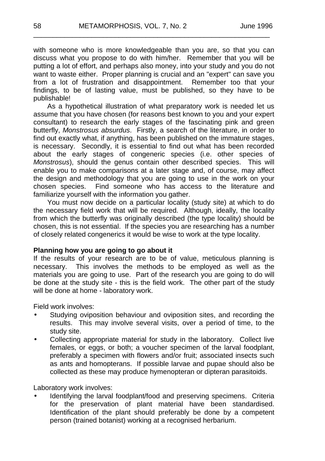with someone who is more knowledgeable than you are, so that you can discuss what you propose to do with him/her. Remember that you will be putting a lot of effort, and perhaps also money, into your study and you do not want to waste either. Proper planning is crucial and an "expert" can save you from a lot of frustration and disappointment. Remember too that your findings, to be of lasting value, must be published, so they have to be publishable!

\_\_\_\_\_\_\_\_\_\_\_\_\_\_\_\_\_\_\_\_\_\_\_\_\_\_\_\_\_\_\_\_\_\_\_\_\_\_\_\_\_\_\_\_\_\_\_\_\_\_\_\_\_\_\_\_\_\_\_\_\_

As a hypothetical illustration of what preparatory work is needed let us assume that you have chosen (for reasons best known to you and your expert consultant) to research the early stages of the fascinating pink and green butterfly, *Monstrosus absurdus*. Firstly, a search of the literature, in order to find out exactly what, if anything, has been published on the immature stages, is necessary. Secondly, it is essential to find out what has been recorded about the early stages of congeneric species (i.e. other species of *Monstrosus*), should the genus contain other described species. This will enable you to make comparisons at a later stage and, of course, may affect the design and methodology that you are going to use in the work on your chosen species. Find someone who has access to the literature and familiarize yourself with the information you gather.

You must now decide on a particular locality (study site) at which to do the necessary field work that will be required. Although, ideally, the locality from which the butterfly was originally described (the type locality) should be chosen, this is not essential. If the species you are researching has a number of closely related congenerics it would be wise to work at the type locality.

#### **Planning how you are going to go about it**

If the results of your research are to be of value, meticulous planning is necessary. This involves the methods to be employed as well as the materials you are going to use. Part of the research you are going to do will be done at the study site - this is the field work. The other part of the study will be done at home - laboratory work.

Field work involves:

- Studying oviposition behaviour and oviposition sites, and recording the results. This may involve several visits, over a period of time, to the study site.
- Collecting appropriate material for study in the laboratory. Collect live females, or eggs, or both; a voucher specimen of the larval foodplant, preferably a specimen with flowers and/or fruit; associated insects such as ants and homopterans. If possible larvae and pupae should also be collected as these may produce hymenopteran or dipteran parasitoids.

Laboratory work involves:

Identifying the larval foodplant/food and preserving specimens. Criteria for the preservation of plant material have been standardised. Identification of the plant should preferably be done by a competent person (trained botanist) working at a recognised herbarium.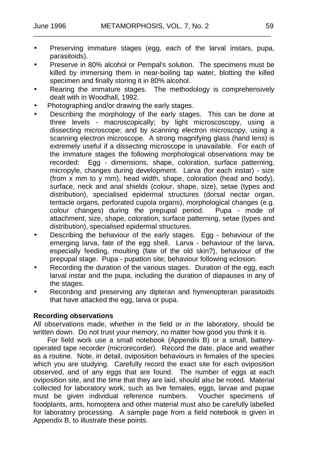- Preserving immature stages (egg, each of the larval instars, pupa, parasitoids).
- Preserve in 80% alcohol or Pempal's solution. The specimens must be killed by immersing them in near-boiling tap water, blotting the killed specimen and finally storing it in 80% alcohol.
- Rearing the immature stages. The methodology is comprehensively  $\ddot{\phantom{a}}$ dealt with in Woodhall, 1992.
- Photographing and/or drawing the early stages.
- Describing the morphology of the early stages. This can be done at three levels - macroscopically; by light microscoscopy, using a dissecting microscope; and by scanning electron microscopy, using a scanning electron microscope. A strong magnifying glass (hand lens) is extremely useful if a dissecting microscope is unavailable. For each of the immature stages the following morphological observations may be recorded: Egg - dimensions, shape, coloration, surface patterning, micropyle, changes during development. Larva (for each instar) - size (from  $\bar{x}$  mm to  $\bar{y}$  mm), head width, shape, coloration (head and body), surface, neck and anal shields (colour, shape, size), setae (types and distribution), specialised epidermal structures (dorsal nectar organ, tentacle organs, perforated cupola organs), morphological changes (e.g. colour changes) during the prepupal period. Pupa - mode of attachment, size, shape, coloration, surface patterning, setae (types and distribution), specialised epidermal structures.
- Describing the behaviour of the early stages. Egg behaviour of the emerging larva, fate of the egg shell. Larva - behaviour of the larva, especially feeding, moulting (fate of the old skin?), behaviour of the prepupal stage. Pupa - pupation site; behaviour following eclosion.
- Recording the duration of the various stages. Duration of the egg, each  $\overline{a}$ larval instar and the pupa, including the duration of diapauses in any of the stages.
- Recording and preserving any dipteran and hymenopteran parasitoids that have attacked the egg, larva or pupa.

#### **Recording observations**

All observations made, whether in the field or in the laboratory, should be written down. Do not trust your memory, no matter how good you think it is.

For field work use a small notebook (Appendix B) or a small, batteryoperated tape recorder (microrecorder). Record the date, place and weather as a routine. Note, in detail, oviposition behaviours in females of the species which you are studying. Carefully record the exact site for each oviposition observed, and of any eggs that are found. The number of eggs at each oviposition site, and the time that they are laid, should also be noted. Material collected for laboratory work, such as live females, eggs, larvae and pupae must be given individual reference numbers. Voucher specimens of must be given individual reference numbers. foodplants, ants, homoptera and other material must also be carefully labelled for laboratory processing. A sample page from a field notebook is given in Appendix B, to illustrate these points.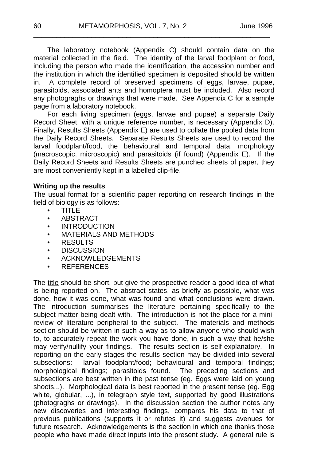The laboratory notebook (Appendix C) should contain data on the material collected in the field. The identity of the larval foodplant or food, including the person who made the identification, the accession number and the institution in which the identified specimen is deposited should be written in. A complete record of preserved specimens of eggs, larvae, pupae, parasitoids, associated ants and homoptera must be included. Also record any photograghs or drawings that were made. See Appendix C for a sample page from a laboratory notebook.

\_\_\_\_\_\_\_\_\_\_\_\_\_\_\_\_\_\_\_\_\_\_\_\_\_\_\_\_\_\_\_\_\_\_\_\_\_\_\_\_\_\_\_\_\_\_\_\_\_\_\_\_\_\_\_\_\_\_\_\_\_

For each living specimen (eggs, larvae and pupae) a separate Daily Record Sheet, with a unique reference number, is necessary (Appendix D). Finally, Results Sheets (Appendix E) are used to collate the pooled data from the Daily Record Sheets. Separate Results Sheets are used to record the larval foodplant/food, the behavioural and temporal data, morphology (macroscopic, microscopic) and parasitoids (if found) (Appendix E). If the Daily Record Sheets and Results Sheets are punched sheets of paper, they are most conveniently kept in a labelled clip-file.

#### **Writing up the results**

The usual format for a scientific paper reporting on research findings in the field of biology is as follows:

- TITLE
- ABSTRACT
- INTRODUCTION
- MATERIALS AND METHODS
- RESULTS
- DISCUSSION
- **ACKNOWLEDGEMENTS**
- REFERENCES

The title should be short, but give the prospective reader a good idea of what is being reported on. The abstract states, as briefly as possible, what was done, how it was done, what was found and what conclusions were drawn. The introduction summarises the literature pertaining specifically to the subject matter being dealt with. The introduction is not the place for a minireview of literature peripheral to the subject. The materials and methods section should be written in such a way as to allow anyone who should wish to, to accurately repeat the work you have done, in such a way that he/she may verify/nullify your findings. The results section is self-explanatory. In reporting on the early stages the results section may be divided into several subsections: larval foodplant/food; behavioural and temporal findings;  $\frac{1}{2}$  larval foodplant/food; behavioural and temporal findings; morphological findings; parasitoids found. The preceding sections and subsections are best written in the past tense (eg. Eggs were laid on young shoots...). Morphological data is best reported in the present tense (eg. Egg white, globular, ...), in telegraph style text, supported by good illustrations (photograghs or drawings). In the discussion section the author notes any new discoveries and interesting findings, compares his data to that of previous publications (supports it or refutes it) and suggests avenues for future research. Acknowledgements is the section in which one thanks those people who have made direct inputs into the present study. A general rule is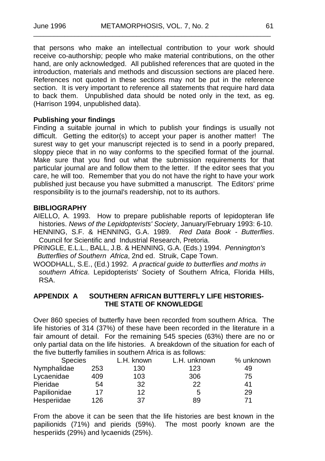that persons who make an intellectual contribution to your work should receive co-authorship; people who make material contributions, on the other hand, are only acknowledged. All published references that are quoted in the introduction, materials and methods and discussion sections are placed here. References not quoted in these sections may not be put in the reference section. It is very important to reference all statements that require hard data to back them. Unpublished data should be noted only in the text, as eg. (Harrison 1994, unpublished data).

#### **Publishing your findings**

Finding a suitable journal in which to publish your findings is usually not difficult. Getting the editor(s) to accept your paper is another matter! The surest way to get your manuscript rejected is to send in a poorly prepared, sloppy piece that in no way conforms to the specified format of the journal. Make sure that you find out what the submission requirements for that particular journal are and follow them to the letter. If the editor sees that you care, he will too. Remember that you do not have the right to have your work published just because you have submitted a manuscript. The Editors' prime responsibility is to the journal's readership, not to its authors.

#### **BIBLIOGRAPHY**

AIELLO, A. 1993. How to prepare publishable reports of lepidopteran life histories. *News of the Lepidopterists' Society*, January/February 1993: 6-10.

- HENNING, S.F. & HENNING, G.A. 1989. *Red Data Book - Butterflies*. Council for Scientific and Industrial Research, Pretoria.
- PRINGLE, E.L.L., BALL, J.B. & HENNING, G.A. (Eds.) 1994. *Pennington's Butterflies of Southern Africa*, 2nd ed. Struik, Cape Town.
- WOODHALL, S.E., (Ed.) 1992. *A practical guide to butterflies and moths in southern Africa*. Lepidopterists' Society of Southern Africa, Florida Hills, RSA.

#### **APPENDIX A SOUTHERN AFRICAN BUTTERFLY LIFE HISTORIES-THE STATE OF KNOWLEDGE**

Over 860 species of butterfly have been recorded from southern Africa. The life histories of 314 (37%) of these have been recorded in the literature in a fair amount of detail. For the remaining 545 species (63%) there are no or only partial data on the life histories. A breakdown of the situation for each of the five butterfly families in southern Africa is as follows:

| <b>Species</b> |     | L.H. known | L.H. unknown | % unknown |
|----------------|-----|------------|--------------|-----------|
| Nymphalidae    | 253 | 130        | 123          | 49        |
| Lycaenidae     | 409 | 103        | 306          | 75        |
| Pieridae       | 54  | 32         | 22           | 41        |
| Papilionidae   | 17  | 12         | 5            | 29        |
| Hesperiidae    | 126 | 37         | 89           | 71        |

From the above it can be seen that the life histories are best known in the papilionids (71%) and pierids (59%). The most poorly known are the hesperiids (29%) and lycaenids (25%).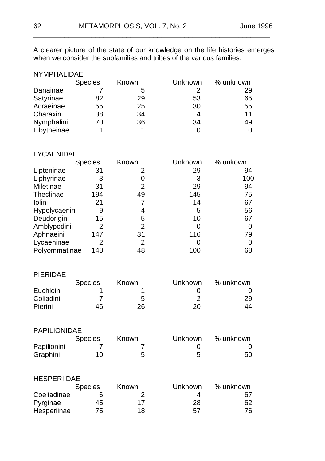A clearer picture of the state of our knowledge on the life histories emerges when we consider the subfamilies and tribes of the various families:

\_\_\_\_\_\_\_\_\_\_\_\_\_\_\_\_\_\_\_\_\_\_\_\_\_\_\_\_\_\_\_\_\_\_\_\_\_\_\_\_\_\_\_\_\_\_\_\_\_\_\_\_\_\_\_\_\_\_\_\_\_

| <b>NYMPHALIDAE</b> |                |       |         |           |
|--------------------|----------------|-------|---------|-----------|
|                    | <b>Species</b> | Known | Unknown | % unknown |
| Danainae           |                | 5     | 2       | 29        |
| Satyrinae          | 82             | 29    | 53      | 65        |
| Acraeinae          | 55             | 25    | 30      | 55        |
| Charaxini          | 38             | 34    | 4       | 11        |
| Nymphalini         | 70             | 36    | 34      | 49        |
| Libytheinae        |                |       |         | 0         |

#### LYCAENIDAE

| <b>Species</b>       | Known | Unknown | % unkown |
|----------------------|-------|---------|----------|
| 31                   | 2     | 29      | 94       |
| 3                    |       | 3       | 100      |
| 31                   | 2     | 29      | 94       |
| 194                  | 49    | 145     | 75       |
| 21                   |       | 14      | 67       |
| Hypolycaenini<br>9   | 4     | 5       | 56       |
| 15                   | 5     | 10      | 67       |
| 2                    | 2     | 0       |          |
| 147                  | 31    | 116     | 79       |
| 2                    | 2     |         |          |
| Polyommatinae<br>148 | 48    | 100     | 68       |
|                      |       |         |          |

| PIFRIDAF  |                |       |         |           |
|-----------|----------------|-------|---------|-----------|
|           | <b>Species</b> | Known | Unknown | % unknown |
| Euchloini |                |       |         |           |
| Coliadini |                | 5     | າ       | 29        |
| Pierini   | 46             | 26    | 20      | 44        |

| <b>PAPILIONIDAE</b> |                |              |         |           |
|---------------------|----------------|--------------|---------|-----------|
|                     | <b>Species</b> | <b>Known</b> | Unknown | % unknown |
| Papilionini         |                |              |         |           |
| Graphini            | 10             | ≎            | 5       | 50        |

| <b>HESPERIIDAE</b> |  |
|--------------------|--|
|                    |  |

|             | <b>Species</b> | <b>Known</b> | Unknown | % unknown |
|-------------|----------------|--------------|---------|-----------|
| Coeliadinae |                |              | 4       | 67        |
| Pyrginae    | 45             | 17           | 28      | 62        |
| Hesperiinae | 75             | 18           | 57      | 76        |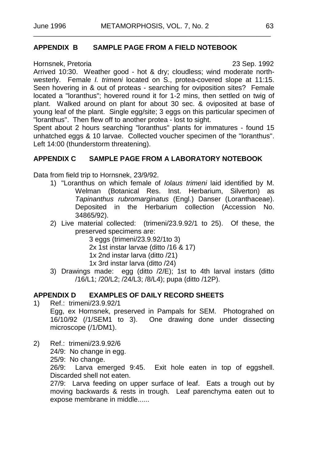#### **APPENDIX B SAMPLE PAGE FROM A FIELD NOTEBOOK**

Hornsnek, Pretoria 23 Sep. 1992

Arrived 10:30. Weather good - hot & dry; cloudless; wind moderate northwesterly. Female *I. trimeni* located on S., protea-covered slope at 11:15. Seen hovering in & out of proteas - searching for oviposition sites? Female located a "loranthus"; hovered round it for 1-2 mins, then settled on twig of plant. Walked around on plant for about 30 sec. & oviposited at base of young leaf of the plant. Single egg/site; 3 eggs on this particular specimen of "loranthus". Then flew off to another protea - lost to sight.

Spent about 2 hours searching "loranthus" plants for immatures - found 15 unhatched eggs & 10 larvae. Collected voucher specimen of the "loranthus". Left 14:00 (thunderstorm threatening).

#### **APPENDIX C SAMPLE PAGE FROM A LABORATORY NOTEBOOK**

Data from field trip to Hornsnek, 23/9/92.

- 1) "Loranthus on which female of *Iolaus trimeni* laid identified by M. Welman (Botanical Res. Inst. Herbarium, Silverton) as *Tapinanthus rubromarginatus* (Engl.) Danser (Loranthaceae). Deposited in the Herbarium collection (Accession No. 34865/92).
- 2) Live material collected: (trimeni/23.9.92/1 to 25). Of these, the preserved specimens are:

3 eggs (trimeni/23.9.92/1to 3)

2x 1st instar larvae (ditto /16 & 17)

1x 2nd instar larva (ditto /21)

- 1x 3rd instar larva (ditto /24)
- 3) Drawings made: egg (ditto /2/E); 1st to 4th larval instars (ditto /16/L1; /20/L2; /24/L3; /8/L4); pupa (ditto /12P).

#### **APPENDIX D EXAMPLES OF DAILY RECORD SHEETS**

- 1) Ref.: trimeni/23.9.92/1 Egg, ex Hornsnek, preserved in Pampals for SEM. Photograhed on 16/10/92 (/1/SEM1 to 3). One drawing done under dissecting microscope (/1/DM1).
- 2) Ref.: trimeni/23.9.92/6
	- 24/9: No change in egg.
	- 25/9: No change.

26/9: Larva emerged 9:45. Exit hole eaten in top of eggshell. Discarded shell not eaten.

27/9: Larva feeding on upper surface of leaf. Eats a trough out by moving backwards & rests in trough. Leaf parenchyma eaten out to expose membrane in middle......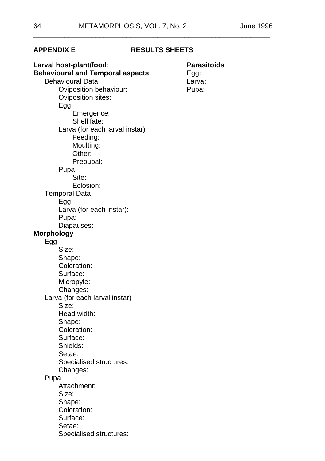#### **APPENDIX E RESULTS SHEETS**

\_\_\_\_\_\_\_\_\_\_\_\_\_\_\_\_\_\_\_\_\_\_\_\_\_\_\_\_\_\_\_\_\_\_\_\_\_\_\_\_\_\_\_\_\_\_\_\_\_\_\_\_\_\_\_\_\_\_\_\_\_

**Larval host-plant/food**: **Parasitoids Behavioural and Temporal aspects** Egg:<br>Behavioural Data **Eggine** Larva: Behavioural Data<br>
Coviposition behaviour:<br>
Pupa: Oviposition behaviour: Oviposition sites: Egg Emergence: Shell fate: Larva (for each larval instar) Feeding: Moulting: Other: Prepupal: Pupa Site: Eclosion: Temporal Data Egg: Larva (for each instar): Pupa: Diapauses: **Morphology** Egg Size: Shape: Coloration: Surface: Micropyle: Changes: Larva (for each larval instar) Size: Head width: Shape: Coloration: Surface: Shields: Setae: Specialised structures: Changes: Pupa Attachment: Size: Shape: Coloration: Surface: Setae: Specialised structures: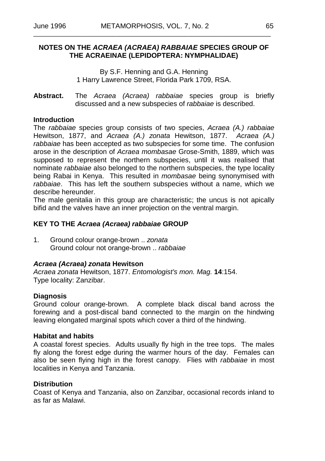#### **NOTES ON THE** *ACRAEA (ACRAEA) RABBAIAE* **SPECIES GROUP OF THE ACRAEINAE (LEPIDOPTERA: NYMPHALIDAE)**

By S.F. Henning and G.A. Henning 1 Harry Lawrence Street, Florida Park 1709, RSA.

**Abstract.** The *Acraea (Acraea) rabbaiae* species group is briefly discussed and a new subspecies of *rabbaiae* is described.

#### **Introduction**

The *rabbaiae* species group consists of two species, *Acraea (A.) rabbaiae* Hewitson, 1877, and *Acraea (A.) zonata* Hewitson, 1877. *Acraea (A.) rabbaiae* has been accepted as two subspecies for some time. The confusion arose in the description of *Acraea mombasae* Grose-Smith, 1889, which was supposed to represent the northern subspecies, until it was realised that nominate *rabbaiae* also belonged to the northern subspecies, the type locality being Rabai in Kenya. This resulted in *mombasae* being synonymised with *rabbaiae*. This has left the southern subspecies without a name, which we describe hereunder.

The male genitalia in this group are characteristic; the uncus is not apically bifid and the valves have an inner projection on the ventral margin.

#### **KEY TO THE** *Acraea (Acraea) rabbaiae* **GROUP**

1. Ground colour orange-brown .. *zonata* Ground colour not orange-brown .. *rabbaiae*

#### *Acraea (Acraea) zonata* **Hewitson**

*Acraea zonata* Hewitson, 1877. *Entomologist's mon. Mag.* **14**:154. Type locality: Zanzibar.

#### **Diagnosis**

Ground colour orange-brown. A complete black discal band across the forewing and a post-discal band connected to the margin on the hindwing leaving elongated marginal spots which cover a third of the hindwing.

#### **Habitat and habits**

A coastal forest species. Adults usually fly high in the tree tops. The males fly along the forest edge during the warmer hours of the day. Females can also be seen flying high in the forest canopy. Flies with *rabbaiae* in most localities in Kenya and Tanzania.

#### **Distribution**

Coast of Kenya and Tanzania, also on Zanzibar, occasional records inland to as far as Malawi.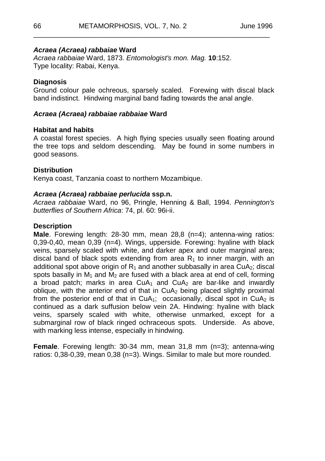#### *Acraea (Acraea) rabbaiae* **Ward**

*Acraea rabbaiae* Ward, 1873. *Entomologist's mon. Mag.* **10**:152. Type locality: Rabai, Kenya.

#### **Diagnosis**

Ground colour pale ochreous, sparsely scaled. Forewing with discal black band indistinct. Hindwing marginal band fading towards the anal angle.

\_\_\_\_\_\_\_\_\_\_\_\_\_\_\_\_\_\_\_\_\_\_\_\_\_\_\_\_\_\_\_\_\_\_\_\_\_\_\_\_\_\_\_\_\_\_\_\_\_\_\_\_\_\_\_\_\_\_\_\_\_

#### *Acraea (Acraea) rabbaiae rabbaiae* **Ward**

#### **Habitat and habits**

A coastal forest species. A high flying species usually seen floating around the tree tops and seldom descending. May be found in some numbers in good seasons.

#### **Distribution**

Kenya coast, Tanzania coast to northern Mozambique.

#### *Acraea (Acraea) rabbaiae perlucida* **ssp.n.**

*Acraea rabbaiae* Ward, no 96, Pringle, Henning & Ball, 1994. *Pennington's butterflies of Southern Africa*: 74, pl. 60: 96i-ii.

#### **Description**

**Male**. Forewing length: 28-30 mm, mean 28,8 (n=4); antenna-wing ratios: 0,39-0,40, mean 0,39 (n=4). Wings, upperside. Forewing: hyaline with black veins, sparsely scaled with white, and darker apex and outer marginal area; discal band of black spots extending from area  $R_1$  to inner margin, with an additional spot above origin of  $R_1$  and another subbasally in area CuA<sub>2</sub>; discal spots basally in  $M_1$  and  $M_2$  are fused with a black area at end of cell, forming a broad patch; marks in area  $CuA<sub>1</sub>$  and  $CuA<sub>2</sub>$  are bar-like and inwardly oblique, with the anterior end of that in  $CuA<sub>2</sub>$  being placed slightly proximal from the posterior end of that in  $CuA_1$ ; occasionally, discal spot in  $CuA_2$  is continued as a dark suffusion below vein 2A. Hindwing: hyaline with black veins, sparsely scaled with white, otherwise unmarked, except for a submarginal row of black ringed ochraceous spots. Underside. As above, with marking less intense, especially in hindwing.

**Female**. Forewing length: 30-34 mm, mean 31,8 mm (n=3); antenna-wing ratios: 0,38-0,39, mean 0,38 (n=3). Wings. Similar to male but more rounded.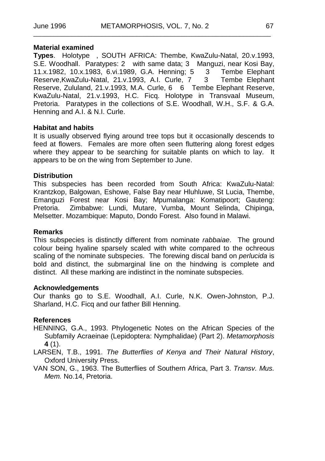#### **Material examined**

**Types**. Holotype , SOUTH AFRICA: Thembe, KwaZulu-Natal, 20.v.1993, S.E. Woodhall. Paratypes: 2 with same data; 3 Manguzi, near Kosi Bay, 11.x.1982, 10.x.1983, 6.vi.1989, G.A. Henning; 5 3 Tembe Elephant Reserve, KwaZulu-Natal, 21.v.1993, A.I. Curle, 7 Reserve, Zululand, 21.v.1993, M.A. Curle, 6 6 Tembe Elephant Reserve, KwaZulu-Natal, 21.v.1993, H.C. Ficq. Holotype in Transvaal Museum, Pretoria. Paratypes in the collections of S.E. Woodhall, W.H., S.F. & G.A. Henning and A.I. & N.I. Curle.

#### **Habitat and habits**

It is usually observed flying around tree tops but it occasionally descends to feed at flowers. Females are more often seen fluttering along forest edges where they appear to be searching for suitable plants on which to lay. It appears to be on the wing from September to June.

#### **Distribution**

This subspecies has been recorded from South Africa: KwaZulu-Natal: Krantzkop, Balgowan, Eshowe, False Bay near Hluhluwe, St Lucia, Thembe, Emanguzi Forest near Kosi Bay; Mpumalanga: Komatipoort; Gauteng: Zimbabwe: Lundi, Mutare, Vumba, Mount Selinda, Chipinga, Melsetter. Mozambique: Maputo, Dondo Forest. Also found in Malawi.

#### **Remarks**

This subspecies is distinctly different from nominate *rabbaiae*. The ground colour being hyaline sparsely scaled with white compared to the ochreous scaling of the nominate subspecies. The forewing discal band on *perlucida* is bold and distinct, the submarginal line on the hindwing is complete and distinct. All these marking are indistinct in the nominate subspecies.

#### **Acknowledgements**

Our thanks go to S.E. Woodhall, A.I. Curle, N.K. Owen-Johnston, P.J. Sharland, H.C. Ficq and our father Bill Henning.

#### **References**

- HENNING, G.A., 1993. Phylogenetic Notes on the African Species of the Subfamily Acraeinae (Lepidoptera: Nymphalidae) (Part 2). *Metamorphosis* **4** (1).
- LARSEN, T.B., 1991. *The Butterflies of Kenya and Their Natural History*, Oxford University Press.
- VAN SON, G., 1963. The Butterflies of Southern Africa, Part 3. *Transv. Mus. Mem.* No.14, Pretoria.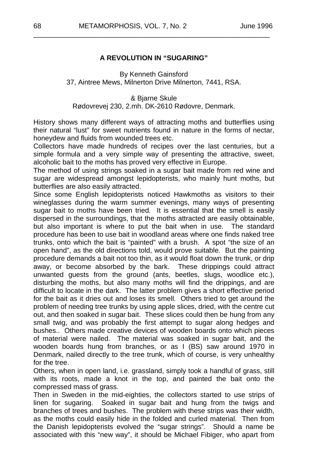#### **A REVOLUTION IN "SUGARING"**

\_\_\_\_\_\_\_\_\_\_\_\_\_\_\_\_\_\_\_\_\_\_\_\_\_\_\_\_\_\_\_\_\_\_\_\_\_\_\_\_\_\_\_\_\_\_\_\_\_\_\_\_\_\_\_\_\_\_\_\_\_

By Kenneth Gainsford 37, Aintree Mews, Milnerton Drive Milnerton, 7441, RSA.

& Bjarne Skule Rødovrevej 230, 2.mh. DK-2610 Rødovre, Denmark.

History shows many different ways of attracting moths and butterflies using their natural "lust" for sweet nutrients found in nature in the forms of nectar, honeydew and fluids from wounded trees etc.

Collectors have made hundreds of recipes over the last centuries, but a simple formula and a very simple way of presenting the attractive, sweet, alcoholic bait to the moths has proved very effective in Europe.

The method of using strings soaked in a sugar bait made from red wine and sugar are widespread amongst lepidopterists, who mainly hunt moths, but butterflies are also easily attracted.

Since some English lepidopterists noticed Hawkmoths as visitors to their wineglasses during the warm summer evenings, many ways of presenting sugar bait to moths have been tried. It is essential that the smell is easily dispersed in the surroundings, that the moths attracted are easily obtainable, but also important is where to put the bait when in use. The standard procedure has been to use bait in woodland areas where one finds naked tree trunks, onto which the bait is "painted" with a brush. A spot "the size of an open hand", as the old directions told, would prove suitable. But the painting procedure demands a bait not too thin, as it would float down the trunk, or drip away, or become absorbed by the bark. These drippings could attract unwanted guests from the ground (ants, beetles, slugs, woodlice etc.), disturbing the moths, but also many moths will find the drippings, and are difficult to locate in the dark. The latter problem gives a short effective period for the bait as it dries out and loses its smell. Others tried to get around the problem of needing tree trunks by using apple slices, dried, with the centre cut out, and then soaked in sugar bait. These slices could then be hung from any small twig, and was probably the first attempt to sugar along hedges and bushes.. Others made creative devices of wooden boards onto which pieces of material were nailed. The material was soaked in sugar bait, and the wooden boards hung from branches, or as I (BS) saw around 1970 in Denmark, nailed directly to the tree trunk, which of course, is very unhealthy for the tree.

Others, when in open land, i.e. grassland, simply took a handful of grass, still with its roots, made a knot in the top, and painted the bait onto the compressed mass of grass.

Then in Sweden in the mid-eighties, the collectors started to use strips of linen for sugaring. Soaked in sugar bait and hung from the twigs and branches of trees and bushes. The problem with these strips was their width, as the moths could easily hide in the folded and curled material. Then from the Danish lepidopterists evolved the "sugar strings". Should a name be associated with this "new way", it should be Michael Fibiger, who apart from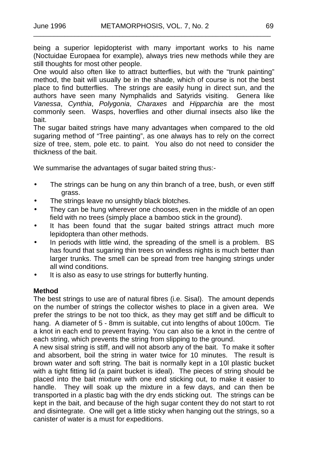being a superior lepidopterist with many important works to his name (Noctuidae Europaea for example), always tries new methods while they are still thoughts for most other people.

One would also often like to attract butterflies, but with the "trunk painting" method, the bait will usually be in the shade, which of course is not the best place to find butterflies. The strings are easily hung in direct sun, and the authors have seen many Nymphalids and Satyrids visiting. Genera like *Vanessa*, *Cynthia*, *Polygonia*, *Charaxes* and *Hipparchia* are the most commonly seen. Wasps, hoverflies and other diurnal insects also like the bait.

The sugar baited strings have many advantages when compared to the old sugaring method of "Tree painting", as one always has to rely on the correct size of tree, stem, pole etc. to paint. You also do not need to consider the thickness of the bait.

We summarise the advantages of sugar baited string thus:-

- The strings can be hung on any thin branch of a tree, bush, or even stiff  $\mathbf{r}$ grass.
- The strings leave no unsightly black blotches.  $\overline{a}$
- They can be hung wherever one chooses, even in the middle of an open  $\ddot{\phantom{a}}$ field with no trees (simply place a bamboo stick in the ground).
- It has been found that the sugar baited strings attract much more lepidoptera than other methods.
- In periods with little wind, the spreading of the smell is a problem. BS has found that sugaring thin trees on windless nights is much better than larger trunks. The smell can be spread from tree hanging strings under all wind conditions.
- It is also as easy to use strings for butterfly hunting.

#### **Method**

The best strings to use are of natural fibres (i.e. Sisal). The amount depends on the number of strings the collector wishes to place in a given area. We prefer the strings to be not too thick, as they may get stiff and be difficult to hang. A diameter of 5 - 8mm is suitable, cut into lengths of about 100cm. Tie a knot in each end to prevent fraying. You can also tie a knot in the centre of each string, which prevents the string from slipping to the ground.

A new sisal string is stiff, and will not absorb any of the bait. To make it softer and absorbent, boil the string in water twice for 10 minutes. The result is brown water and soft string. The bait is normally kept in a 10l plastic bucket with a tight fitting lid (a paint bucket is ideal). The pieces of string should be placed into the bait mixture with one end sticking out, to make it easier to handle. They will soak up the mixture in a few days, and can then be transported in a plastic bag with the dry ends sticking out. The strings can be kept in the bait, and because of the high sugar content they do not start to rot and disintegrate. One will get a little sticky when hanging out the strings, so a canister of water is a must for expeditions.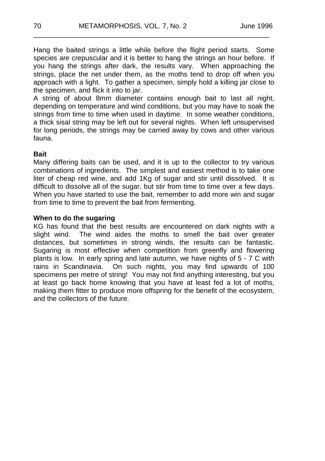Hang the baited strings a little while before the flight period starts. Some species are crepuscular and it is better to hang the strings an hour before. If you hang the strings after dark, the results vary. When approaching the strings, place the net under them, as the moths tend to drop off when you approach with a light. To gather a specimen, simply hold a killing jar close to the specimen, and flick it into to jar.

\_\_\_\_\_\_\_\_\_\_\_\_\_\_\_\_\_\_\_\_\_\_\_\_\_\_\_\_\_\_\_\_\_\_\_\_\_\_\_\_\_\_\_\_\_\_\_\_\_\_\_\_\_\_\_\_\_\_\_\_\_

A string of about 8mm diameter contains enough bait to last all night, depending on temperature and wind conditions, but you may have to soak the strings from time to time when used in daytime. In some weather conditions, a thick sisal string may be left out for several nights. When left unsupervised for long periods, the strings may be carried away by cows and other various fauna.

#### **Bait**

Many differing baits can be used, and it is up to the collector to try various combinations of ingredients. The simplest and easiest method is to take one liter of cheap red wine, and add 1Kg of sugar and stir until dissolved. It is difficult to dissolve all of the sugar, but stir from time to time over a few days. When you have started to use the bait, remember to add more win and sugar from time to time to prevent the bait from fermenting.

#### **When to do the sugaring**

KG has found that the best results are encountered on dark nights with a slight wind. The wind aides the moths to smell the bait over greater distances, but sometimes in strong winds, the results can be fantastic. Sugaring is most effective when competition from greenfly and flowering plants is low. In early spring and late autumn, we have nights of 5 - 7 C with rains in Scandinavia. On such nights, you may find upwards of 100 specimens per metre of string! You may not find anything interesting, but you at least go back home knowing that you have at least fed a lot of moths, making them fitter to produce more offspring for the benefit of the ecosystem, and the collectors of the future.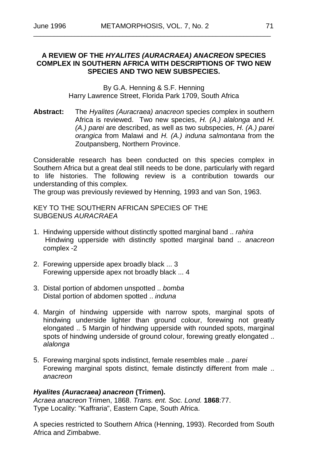#### **A REVIEW OF THE** *HYALITES (AURACRAEA) ANACREON* **SPECIES COMPLEX IN SOUTHERN AFRICA WITH DESCRIPTIONS OF TWO NEW SPECIES AND TWO NEW SUBSPECIES.**

By G.A. Henning & S.F. Henning Harry Lawrence Street, Florida Park 1709, South Africa

**Abstract:** The *Hyalites (Auracraea) anacreon* species complex in southern Africa is reviewed. Two new species, *H. (A.) alalonga* and *H. (A.) parei* are described, as well as two subspecies, *H. (A.) parei orangica* from Malawi and *H. (A.) induna salmontana* from the Zoutpansberg, Northern Province.

Considerable research has been conducted on this species complex in Southern Africa but a great deal still needs to be done, particularly with regard to life histories. The following review is a contribution towards our understanding of this complex.

The group was previously reviewed by Henning, 1993 and van Son, 1963.

KEY TO THE SOUTHERN AFRICAN SPECIES OF THE SUBGENUS *AURACRAEA*

- 1. Hindwing upperside without distinctly spotted marginal band .. *rahira* Hindwing upperside with distinctly spotted marginal band .. *anacreon* complex -2
- 2. Forewing upperside apex broadly black ... 3 Forewing upperside apex not broadly black ... 4
- 3. Distal portion of abdomen unspotted .. *bomba* Distal portion of abdomen spotted .. *induna*
- 4. Margin of hindwing upperside with narrow spots, marginal spots of hindwing underside lighter than ground colour, forewing not greatly elongated .. 5 Margin of hindwing upperside with rounded spots, marginal spots of hindwing underside of ground colour, forewing greatly elongated ... *alalonga*
- 5. Forewing marginal spots indistinct, female resembles male .. *parei* Forewing marginal spots distinct, female distinctly different from male .. *anacreon*

#### *Hyalites (Auracraea) anacreon* **(Trimen).**

*Acraea anacreon* Trimen, 1868. *Trans. ent. Soc. Lond.* **1868**:77. Type Locality: "Kaffraria", Eastern Cape, South Africa.

A species restricted to Southern Africa (Henning, 1993). Recorded from South Africa and Zimbabwe.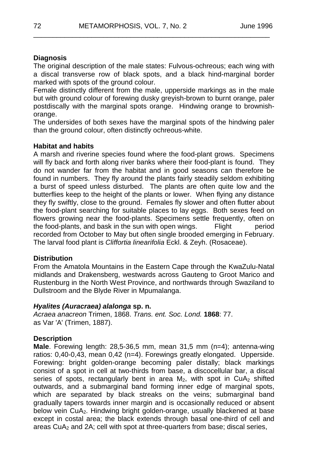### **Diagnosis**

The original description of the male states: Fulvous-ochreous; each wing with a discal transverse row of black spots, and a black hind-marginal border marked with spots of the ground colour.

\_\_\_\_\_\_\_\_\_\_\_\_\_\_\_\_\_\_\_\_\_\_\_\_\_\_\_\_\_\_\_\_\_\_\_\_\_\_\_\_\_\_\_\_\_\_\_\_\_\_\_\_\_\_\_\_\_\_\_\_\_

Female distinctly different from the male, upperside markings as in the male but with ground colour of forewing dusky greyish-brown to burnt orange, paler postdiscally with the marginal spots orange. Hindwing orange to brownishorange.

The undersides of both sexes have the marginal spots of the hindwing paler than the ground colour, often distinctly ochreous-white.

#### **Habitat and habits**

A marsh and riverine species found where the food-plant grows. Specimens will fly back and forth along river banks where their food-plant is found. They do not wander far from the habitat and in good seasons can therefore be found in numbers. They fly around the plants fairly steadily seldom exhibiting a burst of speed unless disturbed. The plants are often quite low and the butterflies keep to the height of the plants or lower. When flying any distance they fly swiftly, close to the ground. Females fly slower and often flutter about the food-plant searching for suitable places to lay eggs. Both sexes feed on flowers growing near the food-plants. Specimens settle frequently, often on the food-plants, and bask in the sun with open wings. Flight period recorded from October to May but often single brooded emerging in February. The larval food plant is *Cliffortia linearifolia* Eckl. & Zeyh. (Rosaceae).

#### **Distribution**

From the Amatola Mountains in the Eastern Cape through the KwaZulu-Natal midlands and Drakensberg, westwards across Gauteng to Groot Marico and Rustenburg in the North West Province, and northwards through Swaziland to Dullstroom and the Blyde River in Mpumalanga.

#### *Hyalites (Auracraea) alalonga* **sp. n.**

*Acraea anacreon* Trimen, 1868. *Trans. ent. Soc. Lond.* **1868**: 77. as Var 'A' (Trimen, 1887).

#### **Description**

**Male**. Forewing length: 28,5-36,5 mm, mean 31,5 mm (n=4); antenna-wing ratios: 0,40-0,43, mean 0,42 (n=4). Forewings greatly elongated. Upperside. Forewing: bright golden-orange becoming paler distally; black markings consist of a spot in cell at two-thirds from base, a discocellular bar, a discal series of spots, rectangularly bent in area  $M_2$ , with spot in CuA<sub>2</sub> shifted outwards, and a submarginal band forming inner edge of marginal spots, which are separated by black streaks on the veins; submarginal band gradually tapers towards inner margin and is occasionally reduced or absent below vein CuA2. Hindwing bright golden-orange, usually blackened at base except in costal area; the black extends through basal one-third of cell and areas  $CuA<sub>2</sub>$  and  $2A$ ; cell with spot at three-quarters from base; discal series,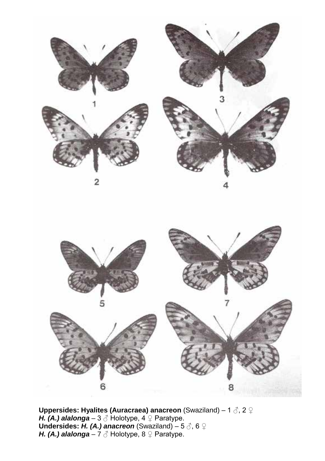



**Uppersides: Hyalites (Auracraea) anacreon** (Swaziland) – 1 ♂, 2 ♀ *H. (A.) alalonga –* 3 ♂ Holotype, 4 ♀ Paratype. **Undersides:** *H. (A.) anacreon* (Swaziland) – 5 ♂, 6 ♀ *H. (A.) alalonga –* 7 ♂ Holotype, 8 ♀ Paratype.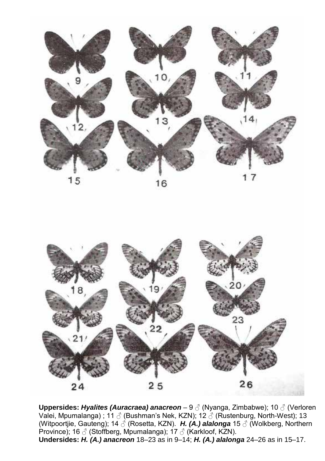



**Uppersides:** *Hyalites (Auracraea) anacreon* – 9 ♂ (Nyanga, Zimbabwe); 10 ♂ (Verloren Valei, Mpumalanga) ; 11  $\beta$  (Bushman's Nek, KZN); 12  $\beta$  (Rustenburg, North-West); 13 (Witpoortjie, Gauteng); 14 ♂ (Rosetta, KZN). *H. (A.) alalonga* 15 ♂ (Wolkberg, Northern Province); 16 ♂ (Stoffberg, Mpumalanga); 17 ♂ (Karkloof, KZN). **Undersides:** *H. (A.) anacreon* 18–23 as in 9–14; *H. (A.) alalonga* 24–26 as in 15–17.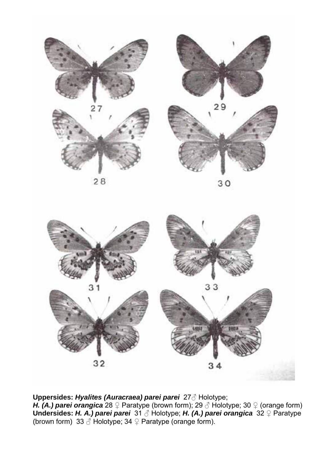

30



#### **Uppersides:** *Hyalites (Auracraea) parei parei* 27♂ Holotype;

*H. (A.) parei orangica* 28 ♀ Paratype (brown form); 29 ♂ Holotype; 30 ♀ (orange form) **Undersides:** *H. A.) parei parei* 31 ♂ Holotype; *H. (A.) parei orangica* 32 ♀ Paratype (brown form) 33  $\oslash$  Holotype; 34  $\oslash$  Paratype (orange form).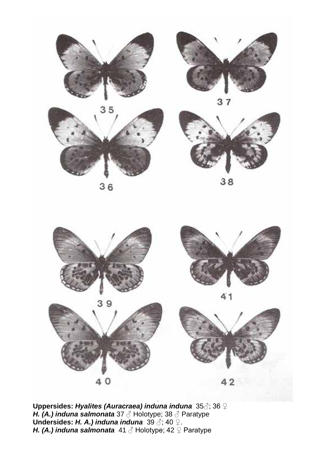









38



**Uppersides:** *Hyalites (Auracraea) induna induna* 35♂; 36 ♀ *H. (A.) induna salmonata* 37 ♂ Holotype; 38 ♂ Paratype **Undersides:** *H. A.) induna induna* 39 ♂; 40 ♀. *H. (A.) induna salmonata* 41 ♂ Holotype; 42 ♀ Paratype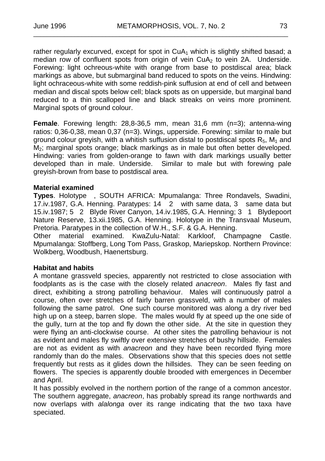\_\_\_\_\_\_\_\_\_\_\_\_\_\_\_\_\_\_\_\_\_\_\_\_\_\_\_\_\_\_\_\_\_\_\_\_\_\_\_\_\_\_\_\_\_\_\_\_\_\_\_\_\_\_\_\_\_\_\_\_\_\_\_\_\_\_\_\_\_\_\_\_\_\_

rather regularly excurved, except for spot in  $CuA<sub>1</sub>$  which is slightly shifted basad; a median row of confluent spots from origin of vein CuA<sub>2</sub> to vein 2A. Underside. Forewing: light ochreous-white with orange from base to postdiscal area; black markings as above, but submarginal band reduced to spots on the veins. Hindwing: light ochraceous-white with some reddish-pink suffusion at end of cell and between median and discal spots below cell; black spots as on upperside, but marginal band reduced to a thin scalloped line and black streaks on veins more prominent. Marginal spots of ground colour.

**Female**. Forewing length: 28,8-36,5 mm, mean 31,6 mm (n=3); antenna-wing ratios: 0,36-0,38, mean 0,37 (n=3). Wings, upperside. Forewing: similar to male but ground colour greyish, with a whitish suffusion distal to postdiscal spots  $R_5$ ,  $M_1$  and M2; marginal spots orange; black markings as in male but often better developed. Hindwing: varies from golden-orange to fawn with dark markings usually better developed than in male. Underside. Similar to male but with forewing pale greyish-brown from base to postdiscal area.

#### **Material examined**

**Types**. Holotype , SOUTH AFRICA: Mpumalanga: Three Rondavels, Swadini, 17.iv.1987, G.A. Henning. Paratypes: 14 2 with same data, 3 same data but 15.iv.1987; 5 2 Blyde River Canyon, 14.iv.1985, G.A. Henning; 3 1 Blydepoort Nature Reserve, 13.xii.1985, G.A. Henning. Holotype in the Transvaal Museum, Pretoria. Paratypes in the collection of W.H., S.F. & G.A. Henning.

Other material examined. KwaZulu-Natal: Karkloof, Champagne Castle. Mpumalanga: Stoffberg, Long Tom Pass, Graskop, Mariepskop. Northern Province: Wolkberg, Woodbush, Haenertsburg.

#### **Habitat and habits**

A montane grassveld species, apparently not restricted to close association with foodplants as is the case with the closely related *anacreon*. Males fly fast and direct, exhibiting a strong patrolling behaviour. Males will continuously patrol a course, often over stretches of fairly barren grassveld, with a number of males following the same patrol. One such course monitored was along a dry river bed high up on a steep, barren slope. The males would fly at speed up the one side of the gully, turn at the top and fly down the other side. At the site in question they were flying an anti-clockwise course. At other sites the patrolling behaviour is not as evident and males fly swiftly over extensive stretches of bushy hillside. Females are not as evident as with *anacreon* and they have been recorded flying more randomly than do the males. Observations show that this species does not settle frequently but rests as it glides down the hillsides. They can be seen feeding on flowers. The species is apparently double brooded with emergences in December and April.

It has possibly evolved in the northern portion of the range of a common ancestor. The southern aggregate, *anacreon*, has probably spread its range northwards and now overlaps with *alalonga* over its range indicating that the two taxa have speciated.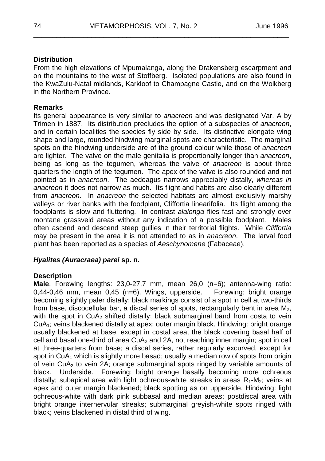#### **Distribution**

From the high elevations of Mpumalanga, along the Drakensberg escarpment and on the mountains to the west of Stoffberg. Isolated populations are also found in the KwaZulu-Natal midlands, Karkloof to Champagne Castle, and on the Wolkberg in the Northern Province.

\_\_\_\_\_\_\_\_\_\_\_\_\_\_\_\_\_\_\_\_\_\_\_\_\_\_\_\_\_\_\_\_\_\_\_\_\_\_\_\_\_\_\_\_\_\_\_\_\_\_\_\_\_\_\_\_\_\_\_\_\_\_\_\_\_\_

#### **Remarks**

Its general appearance is very similar to *anacreon* and was designated Var. A by Trimen in 1887. Its distribution precludes the option of a subspecies of *anacreon*, and in certain localities the species fly side by side. Its distinctive elongate wing shape and large, rounded hindwing marginal spots are characteristic. The marginal spots on the hindwing underside are of the ground colour while those of *anacreon* are lighter. The valve on the male genitalia is proportionally longer than *anacreon*, being as long as the tegumen, whereas the valve of *anacreon* is about three quarters the length of the tegumen. The apex of the valve is also rounded and not pointed as in *anacreon*. The aedeagus narrows appreciably distally, *whereas in anacreon* it does not narrow as much. Its flight and habits are also clearly different from *anacreon*. In *anacreon* the selected habitats are almost exclusivly marshy valleys or river banks with the foodplant, Cliffortia linearifolia. Its flight among the foodplants is slow and fluttering. In contrast *alalonga* flies fast and strongly over montane grassveld areas without any indication of a possible foodplant. Males often ascend and descend steep gullies in their territorial flights. While *Cliffortia* may be present in the area it is not attended to as in *anacreon*. The larval food plant has been reported as a species of *Aeschynomene* (Fabaceae).

#### *Hyalites (Auracraea) parei* **sp. n.**

#### **Description**

**Male**. Forewing lengths: 23,0-27,7 mm, mean 26,0 (n=6); antenna-wing ratio: 0,44-0,46 mm, mean 0,45 (n=6). Wings, upperside. Forewing: bright orange becoming slightly paler distally; black markings consist of a spot in cell at two-thirds from base, discocellular bar, a discal series of spots, rectangularly bent in area  $M_2$ . with the spot in  $CuA<sub>2</sub>$  shifted distally; black submarginal band from costa to vein CuA1; veins blackened distally at apex; outer margin black. Hindwing: bright orange usually blackened at base, except in costal area, the black covering basal half of cell and basal one-third of area  $CuA<sub>2</sub>$  and  $2A$ , not reaching inner margin; spot in cell at three-quarters from base; a discal series, rather regularly excurved, except for spot in  $CuA<sub>1</sub>$  which is slightly more basad; usually a median row of spots from origin of vein CuA2 to vein 2A; orange submarginal spots ringed by variable amounts of black. Underside. Forewing: bright orange basally becoming more ochreous distally; subapical area with light ochreous-white streaks in areas  $R_1-M_2$ ; veins at apex and outer margin blackened; black spotting as on upperside. Hindwing: light ochreous-white with dark pink subbasal and median areas; postdiscal area with bright orange internervular streaks; submarginal greyish-white spots ringed with black; veins blackened in distal third of wing.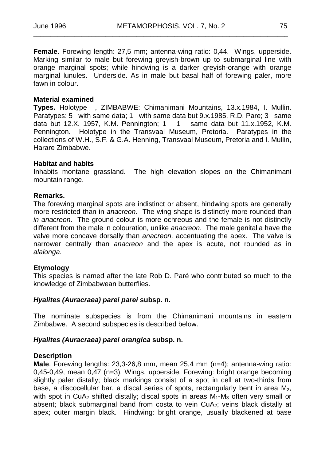**Female**. Forewing length: 27,5 mm; antenna-wing ratio: 0,44. Wings, upperside. Marking similar to male but forewing greyish-brown up to submarginal line with orange marginal spots; while hindwing is a darker greyish-orange with orange marginal lunules. Underside. As in male but basal half of forewing paler, more fawn in colour

\_\_\_\_\_\_\_\_\_\_\_\_\_\_\_\_\_\_\_\_\_\_\_\_\_\_\_\_\_\_\_\_\_\_\_\_\_\_\_\_\_\_\_\_\_\_\_\_\_\_\_\_\_\_\_\_\_\_\_\_\_\_\_\_\_\_\_\_\_\_\_\_\_\_

#### **Material examined**

**Types.** Holotype , ZIMBABWE: Chimanimani Mountains, 13.x.1984, I. Mullin. Paratypes: 5 with same data; 1 with same data but 9.x.1985, R.D. Pare; 3 same data but 12.X. 1957, K.M. Pennington; 1 1 same data but 11.x.1952, K.M. Pennington. Holotype in the Transvaal Museum, Pretoria. Paratypes in the collections of W.H., S.F. & G.A. Henning, Transvaal Museum, Pretoria and I. Mullin, Harare Zimbabwe.

#### **Habitat and habits**

Inhabits montane grassland. The high elevation slopes on the Chimanimani mountain range.

#### **Remarks.**

The forewing marginal spots are indistinct or absent, hindwing spots are generally more restricted than in *anacreon*. The wing shape is distinctly more rounded than *in anacreon*. The ground colour is more ochreous and the female is not distinctly different from the male in colouration, unlike *anacreon*. The male genitalia have the valve more concave dorsally than *anacreon,* accentuating the apex. The valve is narrower centrally than *anacreon* and the apex is acute, not rounded as in *alalonga*.

#### **Etymology**

This species is named after the late Rob D. Paré who contributed so much to the knowledge of Zimbabwean butterflies.

#### *Hyalites (Auracraea) parei parei* **subsp. n.**

The nominate subspecies is from the Chimanimani mountains in eastern Zimbabwe. A second subspecies is described below.

#### *Hyalites (Auracraea) parei orangica* **subsp. n.**

#### **Description**

**Male**. Forewing lengths: 23,3-26,8 mm, mean 25,4 mm (n=4); antenna-wing ratio: 0,45-0,49, mean 0,47 (n=3). Wings, upperside. Forewing: bright orange becoming slightly paler distally; black markings consist of a spot in cell at two-thirds from base, a discocellular bar, a discal series of spots, rectangularly bent in area  $M<sub>2</sub>$ , with spot in CuA<sub>2</sub> shifted distally; discal spots in areas  $M_1-M_3$  often very small or absent; black submarginal band from costa to vein  $CuA<sub>2</sub>$ ; veins black distally at apex; outer margin black. Hindwing: bright orange, usually blackened at base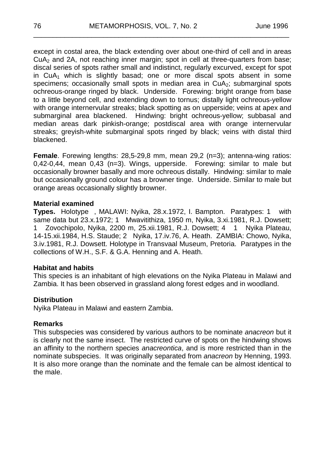except in costal area, the black extending over about one-third of cell and in areas CuA2 and 2A, not reaching inner margin; spot in cell at three-quarters from base; discal series of spots rather small and indistinct, regularly excurved, except for spot in  $CuA<sub>1</sub>$  which is slightly basad; one or more discal spots absent in some specimens; occasionally small spots in median area in  $CuA<sub>2</sub>$ ; submarginal spots ochreous-orange ringed by black. Underside. Forewing: bright orange from base to a little beyond cell, and extending down to tornus; distally light ochreous-yellow with orange internervular streaks; black spotting as on upperside; veins at apex and submarginal area blackened. Hindwing: bright ochreous-yellow; subbasal and median areas dark pinkish-orange; postdiscal area with orange internervular streaks; greyish-white submarginal spots ringed by black; veins with distal third blackened.

\_\_\_\_\_\_\_\_\_\_\_\_\_\_\_\_\_\_\_\_\_\_\_\_\_\_\_\_\_\_\_\_\_\_\_\_\_\_\_\_\_\_\_\_\_\_\_\_\_\_\_\_\_\_\_\_\_\_\_\_\_\_\_\_\_\_

**Female**. Forewing lengths: 28,5-29,8 mm, mean 29,2 (n=3); antenna-wing ratios: 0,42-0,44, mean 0,43 (n=3). Wings, upperside. Forewing: similar to male but occasionally browner basally and more ochreous distally. Hindwing: similar to male but occasionally ground colour has a browner tinge. Underside. Similar to male but orange areas occasionally slightly browner.

#### **Material examined**

**Types.** Holotype , MALAWI: Nyika, 28.x.1972, I. Bampton. Paratypes: 1 with same data but 23.x.1972; 1 Mwavitithiza, 1950 m, Nyika, 3.xi.1981, R.J. Dowsett; 1 Zovochipolo, Nyika, 2200 m, 25.xii.1981, R.J. Dowsett; 4 1 Nyika Plateau, 14-15.xii.1984, H.S. Staude; 2 Nyika, 17.iv.76, A. Heath. ZAMBIA: Chowo, Nyika, 3.iv.1981, R.J. Dowsett. Holotype in Transvaal Museum, Pretoria. Paratypes in the collections of W.H., S.F. & G.A. Henning and A. Heath.

#### **Habitat and habits**

This species is an inhabitant of high elevations on the Nyika Plateau in Malawi and Zambia. It has been observed in grassland along forest edges and in woodland.

#### **Distribution**

Nyika Plateau in Malawi and eastern Zambia.

#### **Remarks**

This subspecies was considered by various authors to be nominate *anacreon* but it is clearly not the same insect. The restricted curve of spots on the hindwing shows an affinity to the northern species *anacreontica*, and is more restricted than in the nominate subspecies. It was originally separated from *anacreon* by Henning, 1993. It is also more orange than the nominate and the female can be almost identical to the male.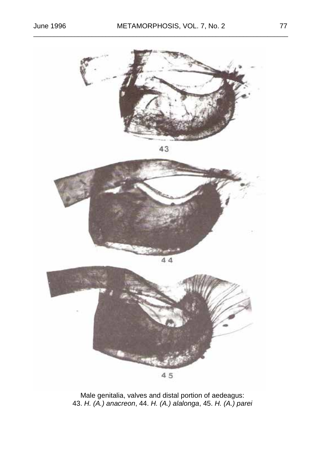

Male genitalia, valves and distal portion of aedeagus: 43. *H. (A.) anacreon*, 44. *H. (A.) alalonga*, 45. *H. (A.) parei*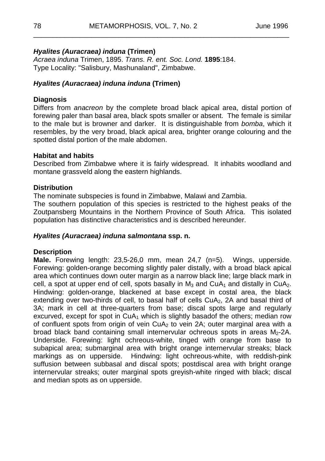\_\_\_\_\_\_\_\_\_\_\_\_\_\_\_\_\_\_\_\_\_\_\_\_\_\_\_\_\_\_\_\_\_\_\_\_\_\_\_\_\_\_\_\_\_\_\_\_\_\_\_\_\_\_\_\_\_\_\_\_\_\_\_\_\_\_

#### *Hyalites (Auracraea) induna* **(Trimen)**

*Acraea induna* Trimen, 1895. *Trans. R. ent. Soc. Lond.* **1895**:184. Type Locality: "Salisbury, Mashunaland", Zimbabwe.

#### *Hyalites (Auracraea) induna induna* **(Trimen)**

#### **Diagnosis**

Differs from *anacreon* by the complete broad black apical area, distal portion of forewing paler than basal area, black spots smaller or absent. The female is similar to the male but is browner and darker. It is distinguishable from *bomba*, which it resembles, by the very broad, black apical area, brighter orange colouring and the spotted distal portion of the male abdomen.

#### **Habitat and habits**

Described from Zimbabwe where it is fairly widespread. It inhabits woodland and montane grassveld along the eastern highlands.

#### **Distribution**

The nominate subspecies is found in Zimbabwe, Malawi and Zambia.

The southern population of this species is restricted to the highest peaks of the Zoutpansberg Mountains in the Northern Province of South Africa. This isolated population has distinctive characteristics and is described hereunder.

#### *Hyalites (Auracraea) induna salmontana* **ssp. n.**

#### **Description**

**Male.** Forewing length: 23,5-26,0 mm, mean 24,7 (n=5). Wings, upperside. Forewing: golden-orange becoming slightly paler distally, with a broad black apical area which continues down outer margin as a narrow black line; large black mark in cell, a spot at upper end of cell, spots basally in  $M_3$  and CuA<sub>1</sub> and distally in CuA<sub>2</sub>. Hindwing: golden-orange, blackened at base except in costal area, the black extending over two-thirds of cell, to basal half of cells CuA<sub>2</sub>, 2A and basal third of 3A; mark in cell at three-quarters from base; discal spots large and regularly excurved, except for spot in  $CuA<sub>1</sub>$  which is slightly basadof the others; median row of confluent spots from origin of vein  $CuA<sub>2</sub>$  to vein 2A; outer marginal area with a broad black band containing small internervular ochreous spots in areas  $M<sub>2</sub>$ -2A. Underside. Forewing: light ochreous-white, tinged with orange from base to subapical area; submarginal area with bright orange internervular streaks; black markings as on upperside. Hindwing: light ochreous-white, with reddish-pink suffusion between subbasal and discal spots; postdiscal area with bright orange internervular streaks; outer marginal spots greyish-white ringed with black; discal and median spots as on upperside.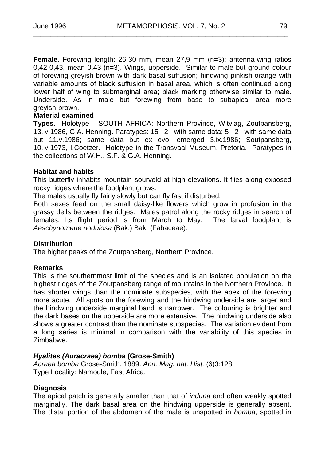\_\_\_\_\_\_\_\_\_\_\_\_\_\_\_\_\_\_\_\_\_\_\_\_\_\_\_\_\_\_\_\_\_\_\_\_\_\_\_\_\_\_\_\_\_\_\_\_\_\_\_\_\_\_\_\_\_\_\_\_\_\_\_\_\_\_\_\_\_\_\_\_\_\_

**Female**. Forewing length: 26-30 mm, mean 27,9 mm (n=3); antenna-wing ratios  $0,42$ -0,43, mean  $0,43$  (n=3). Wings, upperside. Similar to male but ground colour of forewing greyish-brown with dark basal suffusion; hindwing pinkish-orange with variable amounts of black suffusion in basal area, which is often continued along lower half of wing to submarginal area; black marking otherwise similar to male. Underside. As in male but forewing from base to subapical area more greyish-brown.

#### **Material examined**

**Types**. Holotype SOUTH AFRICA: Northern Province, Witvlag, Zoutpansberg, 13.iv.1986, G.A. Henning. Paratypes: 15 2 with same data; 5 2 with same data but 11.v.1986; same data but ex ovo, emerged 3.ix.1986; Soutpansberg, 10.iv.1973, I.Coetzer. Holotype in the Transvaal Museum, Pretoria. Paratypes in the collections of W.H., S.F. & G.A. Henning.

#### **Habitat and habits**

This butterfly inhabits mountain sourveld at high elevations. It flies along exposed rocky ridges where the foodplant grows.

The males usually fly fairly slowly but can fly fast if disturbed.

Both sexes feed on the small daisy-like flowers which grow in profusion in the grassy dells between the ridges. Males patrol along the rocky ridges in search of females. Its flight period is from March to May. The larval foodplant is *Aeschynomene nodulosa* (Bak.) Bak. (Fabaceae).

#### **Distribution**

The higher peaks of the Zoutpansberg, Northern Province.

#### **Remarks**

This is the southernmost limit of the species and is an isolated population on the highest ridges of the Zoutpansberg range of mountains in the Northern Province. It has shorter wings than the nominate subspecies, with the apex of the forewing more acute. All spots on the forewing and the hindwing underside are larger and the hindwing underside marginal band is narrower. The colouring is brighter and the dark bases on the upperside are more extensive. The hindwing underside also shows a greater contrast than the nominate subspecies. The variation evident from a long series is minimal in comparison with the variability of this species in Zimbabwe.

#### *Hyalites (Auracraea) bomba* **(Grose-Smith)**

*Acraea bomba* Grose-Smith, 1889. *Ann. Mag. nat. Hist.* (6)3:128. Type Locality: Namoule, East Africa.

#### **Diagnosis**

The apical patch is generally smaller than that of *induna* and often weakly spotted marginally. The dark basal area on the hindwing upperside is generally absent. The distal portion of the abdomen of the male is unspotted in *bomba*, spotted in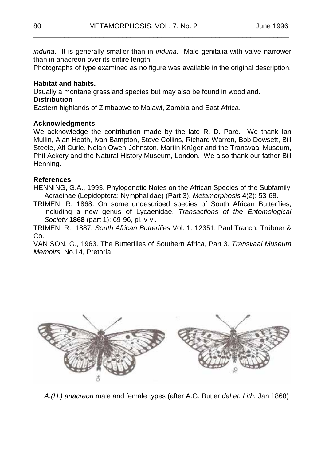*induna*. It is generally smaller than in *induna*. Male genitalia with valve narrower than in anacreon over its entire length

\_\_\_\_\_\_\_\_\_\_\_\_\_\_\_\_\_\_\_\_\_\_\_\_\_\_\_\_\_\_\_\_\_\_\_\_\_\_\_\_\_\_\_\_\_\_\_\_\_\_\_\_\_\_\_\_\_\_\_\_\_\_\_\_\_\_

Photographs of type examined as no figure was available in the original description.

#### **Habitat and habits.**

Usually a montane grassland species but may also be found in woodland.

#### **Distribution**

Eastern highlands of Zimbabwe to Malawi, Zambia and East Africa.

#### **Acknowledgments**

We acknowledge the contribution made by the late R. D. Paré. We thank Ian Mullin, Alan Heath, Ivan Bampton, Steve Collins, Richard Warren, Bob Dowsett, Bill Steele, Alf Curle, Nolan Owen-Johnston, Martin Krüger and the Transvaal Museum, Phil Ackery and the Natural History Museum, London. We also thank our father Bill Henning.

#### **References**

HENNING, G.A., 1993. Phylogenetic Notes on the African Species of the Subfamily Acraeinae (Lepidoptera: Nymphalidae) (Part 3). *Metamorphosis* **4**(2): 53-68.

TRIMEN, R. 1868. On some undescribed species of South African Butterflies, including a new genus of Lycaenidae. *Transactions of the Entomological Society* **1868** (part 1): 69-96, pl. v-vi.

TRIMEN, R., 1887. *South African Butterflies* Vol. 1: 12351. Paul Tranch, Trübner & Co.

VAN SON, G., 1963. The Butterflies of Southern Africa, Part 3. *Transvaal Museum Memoirs.* No.14, Pretoria.



*A.(H.) anacreon* male and female types (after A.G. Butler *del et. Lith.* Jan 1868)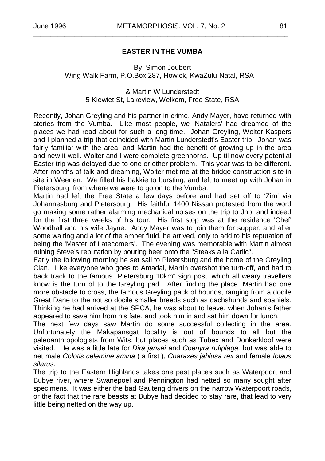#### **EASTER IN THE VUMBA**

\_\_\_\_\_\_\_\_\_\_\_\_\_\_\_\_\_\_\_\_\_\_\_\_\_\_\_\_\_\_\_\_\_\_\_\_\_\_\_\_\_\_\_\_\_\_\_\_\_\_\_\_\_\_\_\_\_\_\_\_\_\_\_\_\_\_\_\_\_\_\_\_\_\_

By Simon Joubert Wing Walk Farm, P.O.Box 287, Howick, KwaZulu-Natal, RSA

> & Martin W Lunderstedt 5 Kiewiet St, Lakeview, Welkom, Free State, RSA

Recently, Johan Greyling and his partner in crime, Andy Mayer, have returned with stories from the Vumba. Like most people, we 'Natalers' had dreamed of the places we had read about for such a long time. Johan Greyling, Wolter Kaspers and I planned a trip that coincided with Martin Lunderstedt's Easter trip. Johan was fairly familiar with the area, and Martin had the benefit of growing up in the area and new it well. Wolter and I were complete greenhorns. Up til now every potential Easter trip was delayed due to one or other problem. This year was to be different. After months of talk and dreaming, Wolter met me at the bridge construction site in site in Weenen. We filled his bakkie to bursting, and left to meet up with Johan in Pietersburg, from where we were to go on to the Vumba.

Martin had left the Free State a few days before and had set off to 'Zim' via Johannesburg and Pietersburg. His faithful 1400 Nissan protested from the word go making some rather alarming mechanical noises on the trip to Jhb, and indeed for the first three weeks of his tour. His first stop was at the residence 'Chef' Woodhall and his wife Jayne. Andy Mayer was to join them for supper, and after some waiting and a lot of the amber fluid, he arrived, only to add to his reputation of being the 'Master of Latecomers'. The evening was memorable with Martin almost ruining Steve's reputation by pouring beer onto the "Steaks a la Garlic".

Early the following morning he set sail to Pietersburg and the home of the Greyling Clan. Like everyone who goes to Amadal, Martin overshot the turn-off, and had to back track to the famous "Pietersburg 10km" sign post, which all weary travellers know is the turn of to the Greyling pad. After finding the place, Martin had one more obstacle to cross, the famous Greyling pack of hounds, ranging from a docile Great Dane to the not so docile smaller breeds such as dachshunds and spaniels. Thinking he had arrived at the SPCA, he was about to leave, when Johan's father appeared to save him from his fate, and took him in and sat him down for lunch.

The next few days saw Martin do some successful collecting in the area. Unfortunately the Makapansgat locality is out of bounds to all but the paleoanthropologists from Wits, but places such as Tubex and Donkerkloof were visited. He was a little late for *Dira jansei* and *Coenyra rufiplaga,* but was able to net male *Colotis celemine amina* ( a first ), *Charaxes jahlusa rex* and female *Iolaus silarus*.

The trip to the Eastern Highlands takes one past places such as Waterpoort and Bubye river, where Swanepoel and Pennington had netted so many sought after specimens. It was either the bad Gauteng drivers on the narrow Waterpoort roads, or the fact that the rare beasts at Bubye had decided to stay rare, that lead to very little being netted on the way up.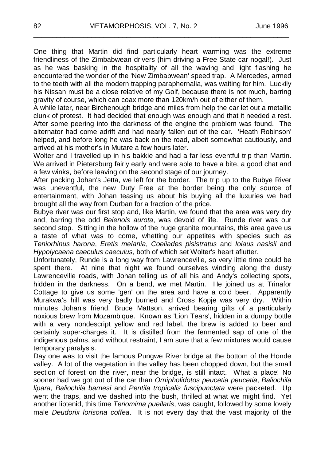One thing that Martin did find particularly heart warming was the extreme friendliness of the Zimbabwean drivers (him driving a Free State car nogal!). Just as he was basking in the hospitality of all the waving and light flashing he encountered the wonder of the 'New Zimbabwean' speed trap. A Mercedes, armed to the teeth with all the modern trapping paraphernalia, was waiting for him. Luckily his Nissan must be a close relative of my Golf, because there is not much, barring gravity of course, which can coax more than 120km/h out of either of them.

\_\_\_\_\_\_\_\_\_\_\_\_\_\_\_\_\_\_\_\_\_\_\_\_\_\_\_\_\_\_\_\_\_\_\_\_\_\_\_\_\_\_\_\_\_\_\_\_\_\_\_\_\_\_\_\_\_\_\_\_\_\_\_\_\_\_

A while later, near Birchenough bridge and miles from help the car let out a metallic clunk of protest. It had decided that enough was enough and that it needed a rest. After some peering into the darkness of the engine the problem was found. The alternator had come adrift and had nearly fallen out of the car. 'Heath Robinson' helped, and before long he was back on the road, albeit somewhat cautiously, and arrived at his mother's in Mutare a few hours later.

Wolter and I travelled up in his bakkie and had a far less eventful trip than Martin. We arrived in Pietersburg fairly early and were able to have a bite, a good chat and a few winks, before leaving on the second stage of our journey.

After packing Johan's Jetta, we left for the border. The trip up to the Bubye River was uneventful, the new Duty Free at the border being the only source of entertainment, with Johan teasing us about his buying all the luxuries we had brought all the way from Durban for a fraction of the price.

Bubye river was our first stop and, like Martin, we found that the area was very dry and, barring the odd *Belenois aurota*, was devoid of life. Runde river was our second stop. Sitting in the hollow of the huge granite mountains, this area gave us a taste of what was to come, whetting our appetites with species such as *Teniorhinus harona*, *Eretis melania*, *Coeliades pisistratus* and *Iolaus nasisii* and *Hypolycaena caeculus caeculus*, both of which set Wolter's heart aflutter.

Unfortunately, Runde is a long way from Lawrenceville, so very little time could be spent there. At nine that night we found ourselves winding along the dusty Lawrenceville roads, with Johan telling us of all his and Andy's collecting spots, hidden in the darkness. On a bend, we met Martin. He joined us at Trinafor Cottage to give us some 'gen' on the area and have a cold beer. Apparently Murakwa's hill was very badly burned and Cross Kopje was very dry. Within minutes Johan's friend, Bruce Mattson, arrived bearing gifts of a particularly noxious brew from Mozambique. Known as 'Lion Tears', hidden in a dumpy bottle with a very nondescript yellow and red label, the brew is added to beer and certainly super-charges it. It is distilled from the fermented sap of one of the indigenous palms, and without restraint, I am sure that a few mixtures would cause temporary paralysis.

Day one was to visit the famous Pungwe River bridge at the bottom of the Honde valley. A lot of the vegetation in the valley has been chopped down, but the small section of forest on the river, near the bridge, is still intact. What a place! No sooner had we got out of the car than *Ornipholidotos peucetia peucetia*, *Baliochila lipara*, *Baliochila barnesi* and *Pentila tropicalis fuscipunctata* were packeted. Up went the traps, and we dashed into the bush, thrilled at what we might find. Yet another liptenid, this time *Teriomima puellaris*, was caught, followed by some lovely male *Deudorix lorisona coffea*. It is not every day that the vast majority of the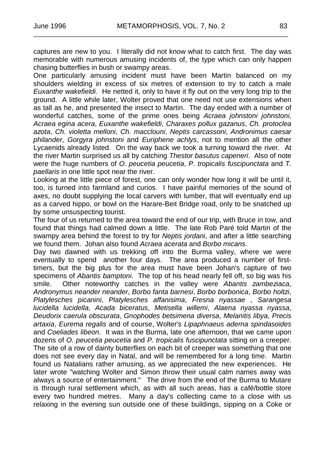captures are new to you. I literally did not know what to catch first. The day was memorable with numerous amusing incidents of, the type which can only happen chasing butterflies in bush or swampy areas.

\_\_\_\_\_\_\_\_\_\_\_\_\_\_\_\_\_\_\_\_\_\_\_\_\_\_\_\_\_\_\_\_\_\_\_\_\_\_\_\_\_\_\_\_\_\_\_\_\_\_\_\_\_\_\_\_\_\_\_\_\_\_\_\_\_\_\_\_\_\_\_\_\_\_

One particularly amusing incident must have been Martin balanced on my shoulders wielding in excess of six metres of extension to try to catch a male *Euxanthe wakefieldi*. He netted it, only to have it fly out on the very long trip to the ground. A little while later, Wolter proved that one need not use extensions when as tall as he, and presented the insect to Martin. The day ended with a number of wonderful catches, some of the prime ones being *Acraea johnstoni johnstoni*, *Acraea egina acera*, *Euxanthe wakefieldi*, *Charaxes pollux gazanus*, *Ch. protoclea azota*, *Ch. violetta melloni*, *Ch. macclouni*, *Neptis carcassoni*, *Andronimus caesar philander*, *Gorgyra johnstoni* and *Euriphene achlys*, not to mention all the other Lycaenids already listed. On the way back we took a turning toward the river. At the river Martin surprised us all by catching *Thestor basutus capeneri*. Also of note were the huge numbers of *O. peucetia peucetia*, *P. tropicalis fuscipunctata* and *T. paellaris* in one little spot near the river.

Looking at the little piece of forest, one can only wonder how long it will be until it, too, is turned into farmland and curios. I have painful memories of the sound of axes, no doubt supplying the local carvers with lumber, that will eventually end up as a carved hippo, or bowl on the Harare-Beit Bridge road, only to be snatched up by some unsuspecting tourist.

The four of us returned to the area toward the end of our trip, with Bruce in tow, and found that things had calmed down a little. The late Rob Paré told Martin of the swampy area behind the forest to try for *Neptis jordani*, and after a little searching we found them. Johan also found *Acraea acerata* and *Borbo micans*.

Day two dawned with us trekking off into the Burma valley, where we were eventually to spend another four days. The area produced a number of firsttimers, but the big plus for the area must have been Johan's capture of two specimens of *Abantis bamptoni*. The top of his head nearly fell off, so big was his smile. Other noteworthy catches in the valley were *Abantis zambeziaca*, *Andronymus neander neander*, *Borbo fanta barnesi*, *Borbo borbonica*, *Borbo holtzi*, *Platylesches picanini*, *Platylesches affanisima*, *Fresna nyassae* , *Sarangesa lucidella lucidella*, *Acada biceratus*, *Metisella willemi*, *Alaena nyassa nyassa*, *Deudorix caerula obscurata*, *Gnophodes betsimena diversa*, *Melanitis libya*, *Precis artaxia*, *Eurema regalis* and of course, Wolter's *Lipaphnaeus aderna spindasoides*  and *Coeliades libeon*. It was in the Burma, late one afternoon, that we came upon dozens of *O. peucetia peucetia* and *P. tropicalis fuscipunctata* sitting on a creeper. The site of a row of dainty butterflies on each bit of creeper was something that one does not see every day in Natal, and will be remembered for a long time. Martin found us Natalians rather amusing, as we appreciated the new experiences. He later wrote "watching Wolter and Simon throw their usual calm names away was always a source of entertainment." The drive from the end of the Burma to Mutare is through rural settlement which, as with all such areas, has a café/bottle store every two hundred metres. Many a day's collecting came to a close with us relaxing in the evening sun outside one of these buildings, sipping on a Coke or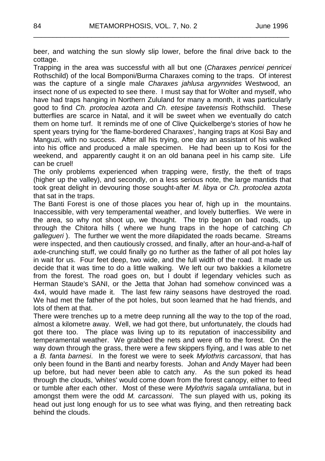beer, and watching the sun slowly slip lower, before the final drive back to the cottage.

\_\_\_\_\_\_\_\_\_\_\_\_\_\_\_\_\_\_\_\_\_\_\_\_\_\_\_\_\_\_\_\_\_\_\_\_\_\_\_\_\_\_\_\_\_\_\_\_\_\_\_\_\_\_\_\_\_\_\_\_\_\_\_\_\_\_

Trapping in the area was successful with all but one (*Charaxes penricei penricei* Rothschild) of the local Bomponi/Burma Charaxes coming to the traps. Of interest was the capture of a single male *Charaxes jahlusa argynnides* Westwood, an insect none of us expected to see there. I must say that for Wolter and myself, who have had traps hanging in Northern Zululand for many a month, it was particularly good to find *Ch. protoclea azota* and *Ch. etesipe tavetensis* Rothschild. These butterflies are scarce in Natal, and it will be sweet when we eventually do catch them on home turf. It reminds me of one of Clive Quickelberge's stories of how he spent years trying for 'the flame-bordered Charaxes', hanging traps at Kosi Bay and Manguzi, with no success. After all his trying, one day an assistant of his walked into his office and produced a male specimen. He had been up to Kosi for the weekend, and apparently caught it on an old banana peel in his camp site. Life can be cruel!

The only problems experienced when trapping were, firstly, the theft of traps (higher up the valley), and secondly, on a less serious note, the large mantids that took great delight in devouring those sought-after *M. libya* or *Ch. protoclea azota* that sat in the traps.

The Banti Forest is one of those places you hear of, high up in the mountains. Inaccessible, with very temperamental weather, and lovely butterflies. We were in the area, so why not shoot up, we thought. The trip began on bad roads, up through the Chitora hills ( where we hung traps in the hope of catching *Ch gallegueri* ). The further we went the more dilapidated the roads became. Streams were inspected, and then cautiously crossed, and finally, after an hour-and-a-half of axle-crunching stuff, we could finally go no further as the father of all pot holes lay in wait for us. Four feet deep, two wide, and the full width of the road. It made us decide that it was time to do a little walking. We left our two bakkies a kilometre from the forest. The road goes on, but I doubt if legendary vehicles such as Herman Staude's SANI, or the Jetta that Johan had somehow convinced was a 4x4, would have made it. The last few rainy seasons have destroyed the road. We had met the father of the pot holes, but soon learned that he had friends, and lots of them at that.

There were trenches up to a metre deep running all the way to the top of the road, almost a kilometre away. Well, we had got there, but unfortunately, the clouds had got there too. The place was living up to its reputation of inaccessibility and temperamental weather. We grabbed the nets and were off to the forest. On the way down through the grass, there were a few skippers flying, and I was able to net a *B. fanta barnesi*. In the forest we were to seek *Mylothris carcassoni*, that has only been found in the Banti and nearby forests. Johan and Andy Mayer had been up before, but had never been able to catch any. As the sun poked its head through the clouds, 'whites' would come down from the forest canopy, either to feed or tumble after each other. Most of these were *Mylothris sagala umtaliana*, but in amongst them were the odd *M. carcassoni*. The sun played with us, poking its head out just long enough for us to see what was flying, and then retreating back behind the clouds.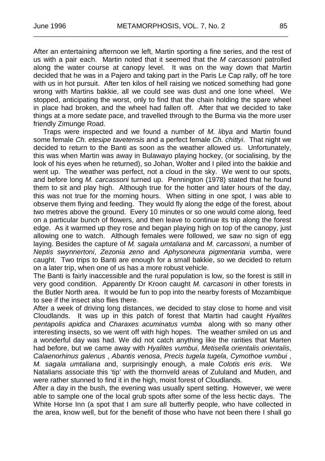\_\_\_\_\_\_\_\_\_\_\_\_\_\_\_\_\_\_\_\_\_\_\_\_\_\_\_\_\_\_\_\_\_\_\_\_\_\_\_\_\_\_\_\_\_\_\_\_\_\_\_\_\_\_\_\_\_\_\_\_\_\_\_\_\_\_\_\_\_\_\_\_\_\_

After an entertaining afternoon we left, Martin sporting a fine series, and the rest of us with a pair each. Martin noted that it seemed that the *M carcassoni* patrolled along the water course at canopy level. It was on the way down that Martin decided that he was in a Pajero and taking part in the Paris Le Cap rally, off he tore with us in hot pursuit. After ten kilos of hell raising we noticed something had gone wrong with Martins bakkie, all we could see was dust and one lone wheel. We stopped, anticipating the worst, only to find that the chain holding the spare wheel in place had broken, and the wheel had fallen off. After that we decided to take things at a more sedate pace, and travelled through to the Burma via the more user friendly Zimunge Road.

Traps were inspected and we found a number of *M. libya* and Martin found some female *Ch. etesipe tavetensis* and a perfect female *Ch. chittyi*. That night we decided to return to the Banti as soon as the weather allowed us. Unfortunately, this was when Martin was away in Bulawayo playing hockey, (or socialising, by the look of his eyes when he returned), so Johan, Wolter and I piled into the bakkie and went up. The weather was perfect, not a cloud in the sky. We went to our spots, and before long *M. carcassoni* turned up. Pennington (1978) stated that he found them to sit and play high. Although true for the hotter and later hours of the day, this was not true for the morning hours. When sitting in one spot, I was able to observe them flying and feeding. They would fly along the edge of the forest, about two metres above the ground. Every 10 minutes or so one would come along, feed on a particular bunch of flowers, and then leave to continue its trip along the forest edge. As it warmed up they rose and began playing high on top of the canopy, just allowing one to watch. Although females were followed, we saw no sign of egg laying. Besides the capture of *M. sagala umtaliana* and *M. carcassoni*, a number of *Neptis swynnertoni*, *Zezonia zeno* and *Aphysoneura pigmentaria vumba*, were caught. Two trips to Banti are enough for a small bakkie, so we decided to return on a later trip, when one of us has a more robust vehicle.

The Banti is fairly inaccessible and the rural population is low, so the forest is still in very good condition. Apparently Dr Kroon caught *M. carcasoni* in other forests in the Butler North area. It would be fun to pop into the nearby forests of Mozambique to see if the insect also flies there.

After a week of driving long distances, we decided to stay close to home and visit Cloudlands. It was up in this patch of forest that Martin had caught *Hyalites pentapolis apidica* and *Charaxes acuminatus vumba* along with so many other interesting insects, so we went off with high hopes. The weather smiled on us and a wonderful day was had. We did not catch anything like the rarities that Marten had before, but we came away with *Hyalites vumbui*, *Metisella orientalis orientalis*, *Calaenorhinus galenus* , *Abantis venosa*, *Precis tugela tugela*, *Cymothoe vumbui* , *M. sagala umtaliana* and, surprisingly enough, a male *Colotis eris eris*. We Natalians associate this 'tip' with the thornveld areas of Zululand and Muden, and were rather stunned to find it in the high, moist forest of Cloudlands.

After a day in the bush, the evening was usually spent setting. However, we were able to sample one of the local grub spots after some of the less hectic days. The White Horse Inn (a spot that I am sure all butterfly people, who have collected in the area, know well, but for the benefit of those who have not been there I shall go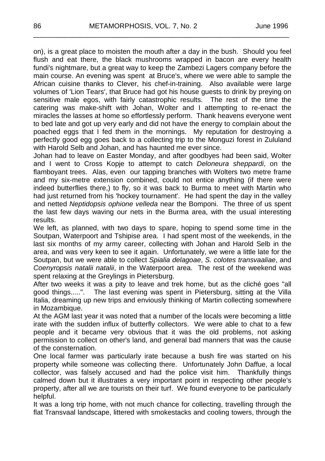on), is a great place to moisten the mouth after a day in the bush. Should you feel flush and eat there, the black mushrooms wrapped in bacon are every health fundi's nightmare, but a great way to keep the Zambezi Lagers company before the main course. An evening was spent at Bruce's, where we were able to sample the African cuisine thanks to Clever, his chef-in-training. Also available were large volumes of 'Lion Tears', that Bruce had got his house guests to drink by preying on sensitive male egos, with fairly catastrophic results. The rest of the time the catering was make-shift with Johan, Wolter and I attempting to re-enact the miracles the lasses at home so effortlessly perform. Thank heavens everyone went to bed late and got up very early and did not have the energy to complain about the poached eggs that I fed them in the mornings. My reputation for destroying a perfectly good egg goes back to a collecting trip to the Monguzi forest in Zululand with Harold Selb and Johan, and has haunted me ever since.

\_\_\_\_\_\_\_\_\_\_\_\_\_\_\_\_\_\_\_\_\_\_\_\_\_\_\_\_\_\_\_\_\_\_\_\_\_\_\_\_\_\_\_\_\_\_\_\_\_\_\_\_\_\_\_\_\_\_\_\_\_\_\_\_\_\_

Johan had to leave on Easter Monday, and after goodbyes had been said, Wolter and I went to Cross Kopje to attempt to catch *Deloneura sheppardi*, on the flamboyant trees. Alas, even our tapping branches with Wolters two metre frame and my six-metre extension combined, could not entice anything (if there were indeed butterflies there,) to fly, so it was back to Burma to meet with Martin who had just returned from his 'hockey tournament'. He had spent the day in the valley and netted *Neptidopsis ophione velleda* near the Bomponi. The three of us spent the last few days waving our nets in the Burma area, with the usual interesting results.

We left, as planned, with two days to spare, hoping to spend some time in the Soutpan, Waterpoort and Tshipise area. I had spent most of the weekends, in the last six months of my army career, collecting with Johan and Harold Selb in the area, and was very keen to see it again. Unfortunately, we were a little late for the Soutpan, but we were able to collect *Spialia delagoae*, *S. colotes transvaaliae*, and *Coenyropsis natalii natalii*, in the Waterpoort area. The rest of the weekend was spent relaxing at the Greylings in Pietersburg.

After two weeks it was a pity to leave and trek home, but as the cliché goes "all good things.....". The last evening was spent in Pietersburg, sitting at the Villa Italia, dreaming up new trips and enviously thinking of Martin collecting somewhere in Mozambique.

At the AGM last year it was noted that a number of the locals were becoming a little irate with the sudden influx of butterfly collectors. We were able to chat to a few people and it became very obvious that it was the old problems, not asking permission to collect on other's land, and general bad manners that was the cause of the consternation.

One local farmer was particularly irate because a bush fire was started on his property while someone was collecting there. Unfortunately John Daffue, a local collector, was falsely accused and had the police visit him. Thankfully things calmed down but it illustrates a very important point in respecting other people's property, after all we are tourists on their turf. We found everyone to be particularly helpful.

It was a long trip home, with not much chance for collecting, travelling through the flat Transvaal landscape, littered with smokestacks and cooling towers, through the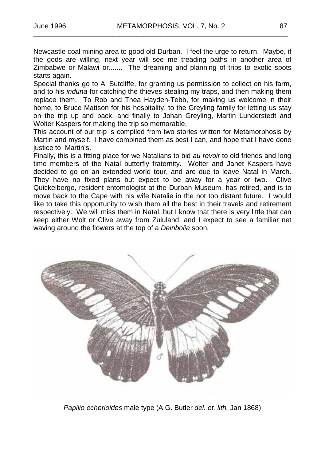Newcastle coal mining area to good old Durban. I feel the urge to return. Maybe, if the gods are willing, next year will see me treading paths in another area of Zimbabwe or Malawi or....... The dreaming and planning of trips to exotic spots starts again.

\_\_\_\_\_\_\_\_\_\_\_\_\_\_\_\_\_\_\_\_\_\_\_\_\_\_\_\_\_\_\_\_\_\_\_\_\_\_\_\_\_\_\_\_\_\_\_\_\_\_\_\_\_\_\_\_\_\_\_\_\_\_\_\_\_\_\_\_\_\_\_\_\_\_

Special thanks go to Al Sutcliffe, for granting us permission to collect on his farm, and to his *induna* for catching the thieves stealing my traps, and then making them replace them. To Rob and Thea Hayden-Tebb, for making us welcome in their home, to Bruce Mattson for his hospitality, to the Greyling family for letting us stay on the trip up and back, and finally to Johan Greyling, Martin Lunderstedt and Wolter Kaspers for making the trip so memorable.

This account of our trip is compiled from two stories written for Metamorphosis by Martin and myself. I have combined them as best I can, and hope that I have done justice to Martin's.

Finally, this is a fitting place for we Natalians to bid *au revoir* to old friends and long time members of the Natal butterfly fraternity. Wolter and Janet Kaspers have decided to go on an extended world tour, and are due to leave Natal in March. They have no fixed plans but expect to be away for a year or two. Clive Quickelberge, resident entomologist at the Durban Museum, has retired, and is to move back to the Cape with his wife Natalie in the not too distant future. I would like to take this opportunity to wish them all the best in their travels and retirement respectively. We will miss them in Natal, but I know that there is very little that can keep either Wolt or Clive away from Zululand, and I expect to see a familiar net waving around the flowers at the top of a *Deinbolia* soon.



*Papilio echerioides* male type (A.G. Butler *del. et. lith.* Jan 1868)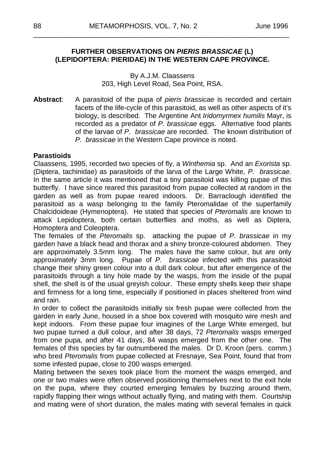#### **FURTHER OBSERVATIONS ON** *PIERIS BRASSICAE* **(L) (LEPIDOPTERA: PIERIDAE) IN THE WESTERN CAPE PROVINCE.**

\_\_\_\_\_\_\_\_\_\_\_\_\_\_\_\_\_\_\_\_\_\_\_\_\_\_\_\_\_\_\_\_\_\_\_\_\_\_\_\_\_\_\_\_\_\_\_\_\_\_\_\_\_\_\_\_\_\_\_\_\_\_\_\_\_\_

#### By A.J.M. Claassens 203, High Level Road, Sea Point, RSA.

**Abstract**: A parasitoid of the pupa of *pieris brassicae* is recorded and certain facets of the life-cycle of this parasitoid, as well as other aspects of it's biology, is described. The Argentine Ant *Iridomyrmex humilis* Mayr, is recorded as a predator of *P. brassicae* eggs. Alternative food plants of the larvae of *P. brassicae* are recorded. The known distribution of *P. brassicae* in the Western Cape province is noted.

#### **Parastioids**

Claassens, 1995, recorded two species of fly, a *Winthemia* sp. And an *Exorista* sp. (Diptera, tachinidae) as parasitoids of the larva of the Large White, *P. brassicae*. In the same article it was mentioned that a tiny parasitoid was killing pupae of this butterfly. I have since reared this parasitoid from pupae collected at random in the garden as well as from pupae reared indoors. Dr. Barraclough identified the parasitoid as a wasp belonging to the family Pteromalidae of the superfamily Chalcidoideae (Hymenoptera). He stated that species of *Pteromalis* are known to attack Lepidoptera, both certain butterflies and moths, as well as Diptera, Homoptera and Coleoptera.

The females of the *Pteromalis* sp. attacking the pupae of *P. brassicae* in my garden have a black head and thorax and a shiny bronze-coloured abdomen. They are approximately 3.5mm long. The males have the same colour, but are only approximately 3mm long. Pupae of *P. brassicae* infected with this parasitoid change their shiny green colour into a dull dark colour, but after emergence of the parasitoids through a tiny hole made by the wasps, from the inside of the pupal shell, the shell is of the usual greyish colour. These empty shells keep their shape and firmness for a long time, especially if positioned in places sheltered from wind and rain.

In order to collect the parasitoids initially six fresh pupae were collected from the garden in early June, housed in a shoe box covered with mosquito wire mesh and kept indoors. From these pupae four imagines of the Large White emerged, but two pupae turned a dull colour, and after 38 days, 72 *Pteromalis* wasps emerged from one pupa, and after 41 days, 84 wasps emerged from the other one. The females of this species by far outnumbered the males. Dr D. Kroon (pers. comm.) who bred *Pteromalis* from pupae collected at Fresnaye, Sea Point, found that from some infested pupae, close to 200 wasps emerged.

Mating between the sexes took place from the moment the wasps emerged, and one or two males were often observed positioning themselves next to the exit hole on the pupa, where they courted emerging females by buzzing around them, rapidly flapping their wings without actually flying, and mating with them. Courtship and mating were of short duration, the males mating with several females in quick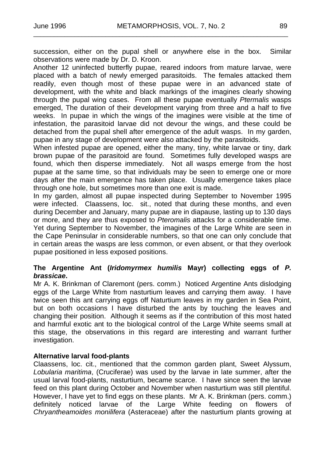succession, either on the pupal shell or anywhere else in the box. Similar observations were made by Dr. D. Kroon.

\_\_\_\_\_\_\_\_\_\_\_\_\_\_\_\_\_\_\_\_\_\_\_\_\_\_\_\_\_\_\_\_\_\_\_\_\_\_\_\_\_\_\_\_\_\_\_\_\_\_\_\_\_\_\_\_\_\_\_\_\_\_\_\_\_\_\_\_\_\_\_\_\_\_

Another 12 uninfected butterfly pupae, reared indoors from mature larvae, were placed with a batch of newly emerged parasitoids. The females attacked them readily, even though most of these pupae were in an advanced state of development, with the white and black markings of the imagines clearly showing through the pupal wing cases. From all these pupae eventually *Ptermalis* wasps emerged, The duration of their development varying from three and a half to five weeks. In pupae in which the wings of the imagines were visible at the time of infestation, the parasitoid larvae did not devour the wings, and these could be detached from the pupal shell after emergence of the adult wasps. In my garden, pupae in any stage of development were also attacked by the parasitoids.

When infested pupae are opened, either the many, tiny, white larvae or tiny, dark brown pupae of the parasitoid are found. Sometimes fully developed wasps are found, which then disperse immediately. Not all wasps emerge from the host pupae at the same time, so that individuals may be seen to emerge one or more days after the main emergence has taken place. Usually emergence takes place through one hole, but sometimes more than one exit is made.

In my garden, almost all pupae inspected during September to November 1995 were infected. Claassens, loc. sit., noted that during these months, and even during December and January, many pupae are in diapause, lasting up to 130 days or more, and they are thus exposed to *Pteromalis* attacks for a considerable time. Yet during September to November, the imagines of the Large White are seen in the Cape Peninsular in considerable numbers, so that one can only conclude that in certain areas the wasps are less common, or even absent, or that they overlook pupae positioned in less exposed positions.

#### **The Argentine Ant (***Iridomyrmex humilis* **Mayr) collecting eggs of** *P. brassicae***.**

Mr A. K. Brinkman of Claremont (pers. comm.) Noticed Argentine Ants dislodging eggs of the Large White from nasturtium leaves and carrying them away. I have twice seen this ant carrying eggs off Naturtium leaves in my garden in Sea Point, but on both occasions I have disturbed the ants by touching the leaves and changing their position. Although it seems as if the contribution of this most hated and harmful exotic ant to the biological control of the Large White seems small at this stage, the observations in this regard are interesting and warrant further investigation.

#### **Alternative larval food-plants**

Claassens, loc. cit., mentioned that the common garden plant, Sweet Alyssum, *Lobularia maritima*, (Cruciferae) was used by the larvae in late summer, after the usual larval food-plants, nasturtium, became scarce. I have since seen the larvae feed on this plant during October and November when nasturtium was still plentiful. However, I have yet to find eggs on these plants. Mr A. K. Brinkman (pers. comm.) definitely noticed larvae of the Large White feeding on flowers of *Chryantheamoides monilifera* (Asteraceae) after the nasturtium plants growing at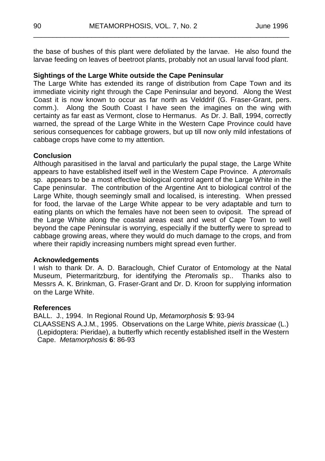the base of bushes of this plant were defoliated by the larvae. He also found the larvae feeding on leaves of beetroot plants, probably not an usual larval food plant.

\_\_\_\_\_\_\_\_\_\_\_\_\_\_\_\_\_\_\_\_\_\_\_\_\_\_\_\_\_\_\_\_\_\_\_\_\_\_\_\_\_\_\_\_\_\_\_\_\_\_\_\_\_\_\_\_\_\_\_\_\_\_\_\_\_\_

#### **Sightings of the Large White outside the Cape Peninsular**

The Large White has extended its range of distribution from Cape Town and its immediate vicinity right through the Cape Peninsular and beyond. Along the West Coast it is now known to occur as far north as Velddrif (G. Fraser-Grant, pers. comm.). Along the South Coast I have seen the imagines on the wing with certainty as far east as Vermont, close to Hermanus. As Dr. J. Ball, 1994, correctly warned, the spread of the Large White in the Western Cape Province could have serious consequences for cabbage growers, but up till now only mild infestations of cabbage crops have come to my attention.

#### **Conclusion**

Although parasitised in the larval and particularly the pupal stage, the Large White appears to have established itself well in the Western Cape Province. A *pteromalis* sp. appears to be a most effective biological control agent of the Large White in the Cape peninsular. The contribution of the Argentine Ant to biological control of the Large White, though seemingly small and localised, is interesting. When pressed for food, the larvae of the Large White appear to be very adaptable and turn to eating plants on which the females have not been seen to oviposit. The spread of the Large White along the coastal areas east and west of Cape Town to well beyond the cape Peninsular is worrying, especially if the butterfly were to spread to cabbage growing areas, where they would do much damage to the crops, and from where their rapidly increasing numbers might spread even further.

#### **Acknowledgements**

I wish to thank Dr. A. D. Baraclough, Chief Curator of Entomology at the Natal Museum, Pietermaritzburg, for identifying the *Pteromalis* sp.. Thanks also to Messrs A. K. Brinkman, G. Fraser-Grant and Dr. D. Kroon for supplying information on the Large White.

#### **References**

BALL. J., 1994. In Regional Round Up, *Metamorphosis* **5**: 93-94 CLAASSENS A.J.M., 1995. Observations on the Large White, *pieris brassicae* (L.) (Lepidoptera: Pieridae), a butterfly which recently established itself in the Western Cape. *Metamorphosis* **6**: 86-93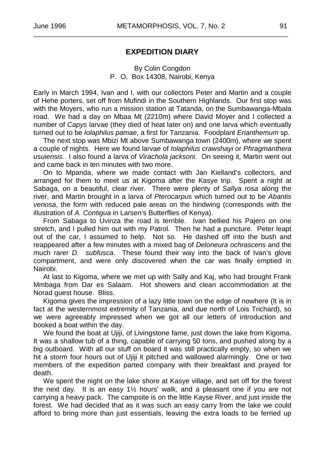#### **EXPEDITION DIARY**

\_\_\_\_\_\_\_\_\_\_\_\_\_\_\_\_\_\_\_\_\_\_\_\_\_\_\_\_\_\_\_\_\_\_\_\_\_\_\_\_\_\_\_\_\_\_\_\_\_\_\_\_\_\_\_\_\_\_\_\_\_\_\_\_\_\_\_\_\_\_\_\_\_\_

#### By Colin Congdon P. O. Box 14308, Nairobi, Kenya

Early in March 1994, Ivan and I, with our collectors Peter and Martin and a couple of Hehe porters, set off from Mufindi in the Southern Highlands. Our first stop was with the Moyers, who run a mission station at Tatanda, on the Sumbawanga-Mbala road. We had a day on Mbaa Mt (2210m) where David Moyer and I collected a number of *Capys* larvae (they died of heat later on) and one larva which eventually turned out to be *Iolaphilus pamae*, a first for Tanzania. Foodplant *Erianthemum* sp.

The next stop was Mbizi Mt above Sumbawanga town (2400m), where we spent a couple of nights. Here we found larvae of *Iolaphilus crawshayi* or *Phragmanthera usuiensis*. I also found a larva of *Virachola jacksoni*. On seeing it, Martin went out and came back in ten minutes with two more.

On to Mpanda, where we made contact with Jan Kielland's collectors, and arranged for them to meet us at Kigoma after the Kasye trip. Spent a night at Sabaga, on a beautiful, clear river. There were plenty of *Sallya rosa* along the river, and Martin brought in a larva of *Pterocarpus* which turned out to be *Abantis venosa*, the form with reduced pale areas on the hindwing (corresponds with the illustration of *A. Contigua* in Larsen's Butterflies of Kenya).

From Sabaga to Uvinza the road is terrible. Ivan bellied his Pajero on one stretch, and I pulled him out with my Patrol. Then he had a puncture. Peter leapt out of the car, I assumed to help. Not so. He dashed off into the bush and reappeared after a few minutes with a mixed bag of *Deloneura ochrascens* and the much rarer *D. subfusca*. These found their way into the back of Ivan's glove compartment, and were only discovered when the car was finally emptied in Nairobi.

At last to Kigoma, where we met up with Sally and Kaj, who had brought Frank Mmbaga from Dar es Salaam. Hot showers and clean accommodation at the Norad guest house. Bliss.

Kigoma gives the impression of a lazy little town on the edge of nowhere (It is in fact at the westernmost extremity of Tanzania, and due north of Lois Trichard), so we were agreeably impressed when we got all our letters of introduction and booked a boat within the day.

We found the boat at Ujiji, of Livingstone fame, just down the lake from Kigoma. It was a shallow tub of a thing, capable of carrying 50 tons, and pushed along by a big outboard. With all our stuff on board it was still practically empty, so when we hit a storm four hours out of Ujiji it pitched and wallowed alarmingly. One or two members of the expedition parted company with their breakfast and prayed for death.

We spent the night on the lake shore at Kasye village, and set off for the forest the next day. It is an easy 1½ hours' walk, and a pleasant one if you are not carrying a heavy pack. The campsite is on the little Kayse River, and just inside the forest. We had decided that as it was such an easy carry from the lake we could afford to bring more than just essentials, leaving the extra loads to be ferried up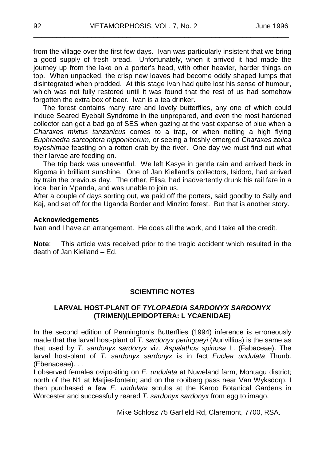from the village over the first few days. Ivan was particularly insistent that we bring a good supply of fresh bread. Unfortunately, when it arrived it had made the journey up from the lake on a porter's head, with other heavier, harder things on top. When unpacked, the crisp new loaves had become oddly shaped lumps that disintegrated when prodded. At this stage Ivan had quite lost his sense of humour, which was not fully restored until it was found that the rest of us had somehow forgotten the extra box of beer. Ivan is a tea drinker.

\_\_\_\_\_\_\_\_\_\_\_\_\_\_\_\_\_\_\_\_\_\_\_\_\_\_\_\_\_\_\_\_\_\_\_\_\_\_\_\_\_\_\_\_\_\_\_\_\_\_\_\_\_\_\_\_\_\_\_\_\_\_\_\_\_\_

The forest contains many rare and lovely butterflies, any one of which could induce Seared Eyeball Syndrome in the unprepared, and even the most hardened collector can get a bad go of SES when gazing at the vast expanse of blue when a *Charaxes mixtus tanzanicus* comes to a trap, or when netting a high flying *Euphraedra sarcoptera nipponicorum*, or seeing a freshly emerged *Charaxes zelica toyoshimae* feasting on a rotten crab by the river. One day we must find out what their larvae are feeding on.

The trip back was uneventful. We left Kasye in gentle rain and arrived back in Kigoma in brilliant sunshine. One of Jan Kielland's collectors, Isidoro, had arrived by train the previous day. The other, Elisa, had inadvertently drunk his rail fare in a local bar in Mpanda, and was unable to join us.

After a couple of days sorting out, we paid off the porters, said goodby to Sally and Kaj, and set off for the Uganda Border and Minziro forest. But that is another story.

#### **Acknowledgements**

Ivan and I have an arrangement. He does all the work, and I take all the credit.

**Note**: This article was received prior to the tragic accident which resulted in the death of Jan Kielland – Ed.

#### **SCIENTIFIC NOTES**

#### **LARVAL HOST-PLANT OF** *TYLOPAEDIA SARDONYX SARDONYX* **(TRIMEN)(LEPIDOPTERA: L YCAENIDAE)**

In the second edition of Pennington's Butterflies (1994) inference is erroneously made that the larval host-plant of *T. sardonyx peringueyi* (Aurivillius) is the same as that used by *T. sardonyx sardonyx* viz. *Aspalathus spinosa* L. (Fabaceae). The larval host-plant of *T. sardonyx sardonyx* is in fact *Euclea undulata* Thunb. (Ebenaceae). . .

I observed females ovipositing on *E. undulata* at Nuweland farm, Montagu district; north of the N1 at Matjiesfontein; and on the rooiberg pass near Van Wyksdorp. I then purchased a few *E. undulata* scrubs at the Karoo Botanical Gardens in Worcester and successfully reared *T. sardonyx sardonyx* from egg to imago.

Mike Schlosz 75 Garfield Rd, Claremont, 7700, RSA.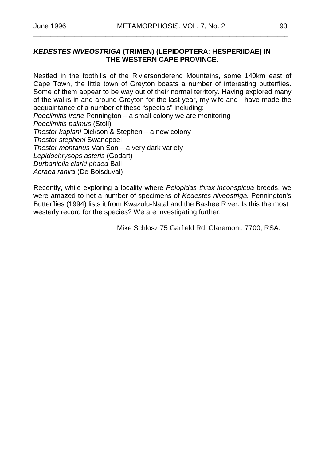\_\_\_\_\_\_\_\_\_\_\_\_\_\_\_\_\_\_\_\_\_\_\_\_\_\_\_\_\_\_\_\_\_\_\_\_\_\_\_\_\_\_\_\_\_\_\_\_\_\_\_\_\_\_\_\_\_\_\_\_\_\_\_\_\_\_\_\_\_\_\_\_\_\_

#### *KEDESTES NIVEOSTRIGA* **(TRIMEN) (LEPIDOPTERA: HESPERllDAE) IN THE WESTERN CAPE PROVINCE.**

Nestled in the foothills of the Riviersonderend Mountains, some 140km east of Cape Town, the little town of Greyton boasts a number of interesting butterflies. Some of them appear to be way out of their normal territory. Having explored many of the walks in and around Greyton for the last year, my wife and I have made the acquaintance of a number of these "specials" including: *Poecilmitis irene* Pennington – a small colony we are monitoring

*Poecilmitis palmus* (Stoll)

*Thestor kaplani* Dickson & Stephen – a new colony *Thestor stepheni* Swanepoel

*Thestor montanus* Van Son – a very dark variety

*Lepidochrysops asteris* (Godart)

*Durbaniella clarki phaea* Ball

*Acraea rahira* (De Boisduval)

Recently, while exploring a locality where *Pelopidas thrax inconspicua* breeds, we were amazed to net a number of specimens of *Kedestes niveostriga.* Pennington's Butterflies (1994) lists it from Kwazulu-Natal and the Bashee River. Is this the most westerly record for the species? We are investigating further.

Mike Schlosz 75 Garfield Rd, Claremont, 7700, RSA.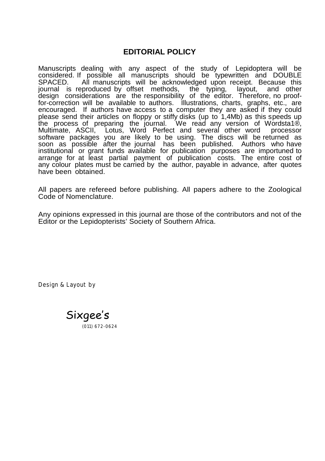#### **EDITORIAL POLICY**

Manuscripts dealing with any aspect of the study of Lepidoptera will be considered. If possible all manuscripts should be typewritten and DOUBLE All manuscripts will be acknowledged upon receipt. Because this journal is reproduced by offset methods, the typing, layout, and other for-correction will be available to authors. Illustrations, charts, graphs, etc., are encouraged. If authors have access to a computer they are asked if they could please send their articles on floppy or stiffy disks (up to 1,4Mb) as this speeds up the process of preparing the journal. We read any version of Wordsta1®,<br>Multimate, ASCIL, Lotus, Word Perfect and several other word, processor Multimate, ASCII, Lotus, Word Perfect and several other word software packages you are likely to be using. The discs will be returned as soon as possible after the journal has been published. Authors who have institutional or grant funds available for publication purposes are importuned to arrange for at least partial payment of publication costs. The entire cost of any colour plates must be carried by the author, payable in advance, after quotes have been obtained.

All papers are refereed before publishing. All papers adhere to the Zoological Code of Nomenclature.

Any opinions expressed in this journal are those of the contributors and not of the Editor or the Lepidopterists' Society of Southern Africa.

Design & Layout by